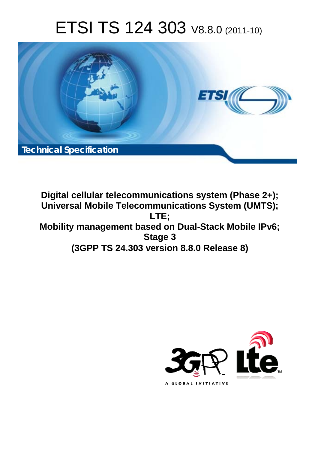# ETSI TS 124 303 V8.8.0 (2011-10)



**Digital cellular telecommunications system (Phase 2+); Universal Mobile Telecommunications System (UMTS); LTE; Mobility management based on Dual-Stack Mobile IPv6; Stage 3 (3GPP TS 24.303 version 8.8.0 Release 8)** 

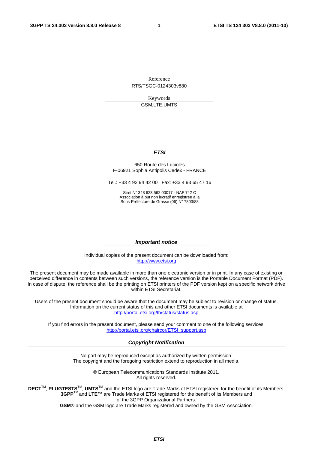Reference RTS/TSGC-0124303v880

> Keywords GSM,LTE,UMTS

### *ETSI*

### 650 Route des Lucioles F-06921 Sophia Antipolis Cedex - FRANCE

Tel.: +33 4 92 94 42 00 Fax: +33 4 93 65 47 16

Siret N° 348 623 562 00017 - NAF 742 C Association à but non lucratif enregistrée à la Sous-Préfecture de Grasse (06) N° 7803/88

### *Important notice*

Individual copies of the present document can be downloaded from: [http://www.etsi.org](http://www.etsi.org/)

The present document may be made available in more than one electronic version or in print. In any case of existing or perceived difference in contents between such versions, the reference version is the Portable Document Format (PDF). In case of dispute, the reference shall be the printing on ETSI printers of the PDF version kept on a specific network drive within ETSI Secretariat.

Users of the present document should be aware that the document may be subject to revision or change of status. Information on the current status of this and other ETSI documents is available at <http://portal.etsi.org/tb/status/status.asp>

If you find errors in the present document, please send your comment to one of the following services: [http://portal.etsi.org/chaircor/ETSI\\_support.asp](http://portal.etsi.org/chaircor/ETSI_support.asp)

### *Copyright Notification*

No part may be reproduced except as authorized by written permission. The copyright and the foregoing restriction extend to reproduction in all media.

> © European Telecommunications Standards Institute 2011. All rights reserved.

**DECT**TM, **PLUGTESTS**TM, **UMTS**TM and the ETSI logo are Trade Marks of ETSI registered for the benefit of its Members. **3GPP**TM and **LTE**™ are Trade Marks of ETSI registered for the benefit of its Members and of the 3GPP Organizational Partners.

**GSM**® and the GSM logo are Trade Marks registered and owned by the GSM Association.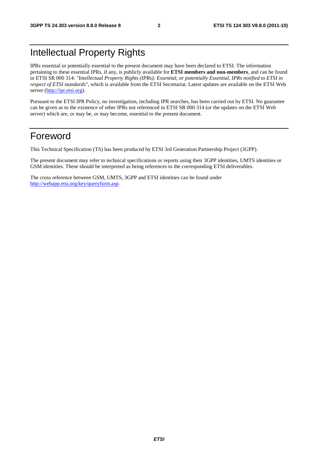## Intellectual Property Rights

IPRs essential or potentially essential to the present document may have been declared to ETSI. The information pertaining to these essential IPRs, if any, is publicly available for **ETSI members and non-members**, and can be found in ETSI SR 000 314: *"Intellectual Property Rights (IPRs); Essential, or potentially Essential, IPRs notified to ETSI in respect of ETSI standards"*, which is available from the ETSI Secretariat. Latest updates are available on the ETSI Web server ([http://ipr.etsi.org\)](http://webapp.etsi.org/IPR/home.asp).

Pursuant to the ETSI IPR Policy, no investigation, including IPR searches, has been carried out by ETSI. No guarantee can be given as to the existence of other IPRs not referenced in ETSI SR 000 314 (or the updates on the ETSI Web server) which are, or may be, or may become, essential to the present document.

## Foreword

This Technical Specification (TS) has been produced by ETSI 3rd Generation Partnership Project (3GPP).

The present document may refer to technical specifications or reports using their 3GPP identities, UMTS identities or GSM identities. These should be interpreted as being references to the corresponding ETSI deliverables.

The cross reference between GSM, UMTS, 3GPP and ETSI identities can be found under [http://webapp.etsi.org/key/queryform.asp.](http://webapp.etsi.org/key/queryform.asp)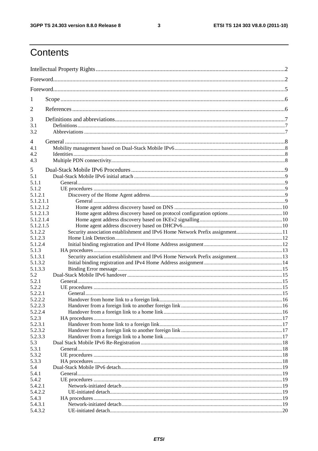$\mathbf{3}$ 

## Contents

| 1                    |                                                                              |  |  |
|----------------------|------------------------------------------------------------------------------|--|--|
| 2                    |                                                                              |  |  |
|                      |                                                                              |  |  |
| 3                    |                                                                              |  |  |
| 3.1<br>3.2           |                                                                              |  |  |
|                      |                                                                              |  |  |
| 4                    |                                                                              |  |  |
| 4.1                  |                                                                              |  |  |
| 4.2<br>4.3           |                                                                              |  |  |
|                      |                                                                              |  |  |
| 5                    |                                                                              |  |  |
| 5.1                  |                                                                              |  |  |
| 5.1.1                |                                                                              |  |  |
| 5.1.2                |                                                                              |  |  |
| 5.1.2.1<br>5.1.2.1.1 |                                                                              |  |  |
| 5.1.2.1.2            |                                                                              |  |  |
| 5.1.2.1.3            |                                                                              |  |  |
| 5.1.2.1.4            |                                                                              |  |  |
| 5.1.2.1.5            |                                                                              |  |  |
| 5.1.2.2              |                                                                              |  |  |
| 5.1.2.3              |                                                                              |  |  |
| 5.1.2.4              |                                                                              |  |  |
| 5.1.3                |                                                                              |  |  |
| 5.1.3.1              | Security association establishment and IPv6 Home Network Prefix assignment13 |  |  |
| 5.1.3.2              |                                                                              |  |  |
| 5.1.3.3              |                                                                              |  |  |
| 5.2<br>5.2.1         |                                                                              |  |  |
| 5.2.2                |                                                                              |  |  |
| 5.2.2.1              |                                                                              |  |  |
| 5.2.2.2              |                                                                              |  |  |
| 5.2.2.3              |                                                                              |  |  |
| 5.2.2.4              |                                                                              |  |  |
| 5.2.3                |                                                                              |  |  |
| 5.2.3.1              |                                                                              |  |  |
| 5.2.3.2              |                                                                              |  |  |
| 5.2.3.3              |                                                                              |  |  |
| 5.3                  |                                                                              |  |  |
| 5.3.1<br>5.3.2       |                                                                              |  |  |
| 5.3.3                |                                                                              |  |  |
| 5.4                  |                                                                              |  |  |
| 5.4.1                |                                                                              |  |  |
| 5.4.2                |                                                                              |  |  |
| 5.4.2.1              |                                                                              |  |  |
| 5.4.2.2              |                                                                              |  |  |
| 5.4.3                |                                                                              |  |  |
| 5.4.3.1              |                                                                              |  |  |
| 5.4.3.2              |                                                                              |  |  |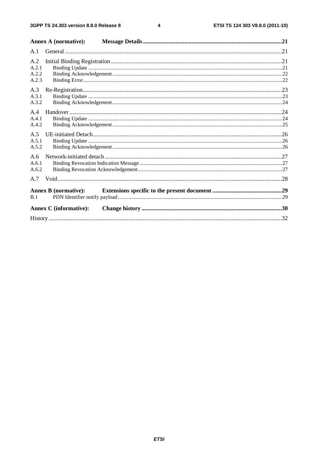$\overline{\mathbf{4}}$ 

|                                | <b>Annex A (normative):</b>   |  |
|--------------------------------|-------------------------------|--|
| A.1                            |                               |  |
| A.2<br>A.2.1<br>A.2.2<br>A.2.3 |                               |  |
| A.3<br>A.3.1<br>A.3.2          |                               |  |
| A.4<br>A.4.1<br>A.4.2          |                               |  |
| A.5<br>A.5.1<br>A.5.2          |                               |  |
| A.6<br>A.6.1<br>A.6.2          |                               |  |
| A.7                            |                               |  |
| B.1                            | <b>Annex B</b> (normative):   |  |
|                                | <b>Annex C</b> (informative): |  |
|                                |                               |  |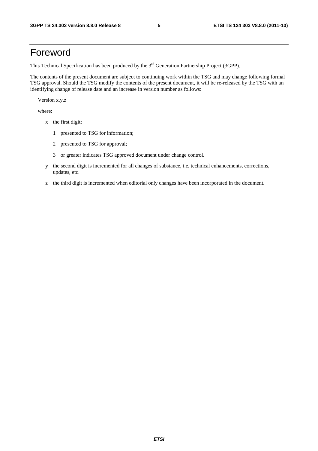## Foreword

This Technical Specification has been produced by the 3<sup>rd</sup> Generation Partnership Project (3GPP).

The contents of the present document are subject to continuing work within the TSG and may change following formal TSG approval. Should the TSG modify the contents of the present document, it will be re-released by the TSG with an identifying change of release date and an increase in version number as follows:

Version x.y.z

where:

- x the first digit:
	- 1 presented to TSG for information;
	- 2 presented to TSG for approval;
	- 3 or greater indicates TSG approved document under change control.
- y the second digit is incremented for all changes of substance, i.e. technical enhancements, corrections, updates, etc.
- z the third digit is incremented when editorial only changes have been incorporated in the document.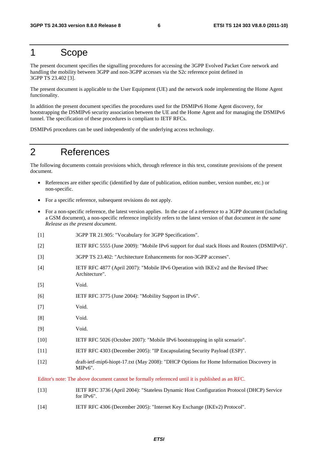## 1 Scope

The present document specifies the signalling procedures for accessing the 3GPP Evolved Packet Core network and handling the mobility between 3GPP and non-3GPP accesses via the S2c reference point defined in 3GPP TS 23.402 [3].

The present document is applicable to the User Equipment (UE) and the network node implementing the Home Agent functionality.

In addition the present document specifies the procedures used for the DSMIPv6 Home Agent discovery, for bootstrapping the DSMIPv6 security association between the UE and the Home Agent and for managing the DSMIPv6 tunnel. The specification of these procedures is compliant to IETF RFCs.

DSMIPv6 procedures can be used independently of the underlying access technology.

## 2 References

The following documents contain provisions which, through reference in this text, constitute provisions of the present document.

- References are either specific (identified by date of publication, edition number, version number, etc.) or non-specific.
- For a specific reference, subsequent revisions do not apply.
- For a non-specific reference, the latest version applies. In the case of a reference to a 3GPP document (including a GSM document), a non-specific reference implicitly refers to the latest version of that document *in the same Release as the present document*.
- [1] 3GPP TR 21.905: "Vocabulary for 3GPP Specifications".
- [2] IETF RFC 5555 (June 2009): "Mobile IPv6 support for dual stack Hosts and Routers (DSMIPv6)".
- [3] 3GPP TS 23.402: "Architecture Enhancements for non-3GPP accesses".
- [4] IETF RFC 4877 (April 2007): "Mobile IPv6 Operation with IKEv2 and the Revised IPsec Architecture".
- [5] Void.
- [6] IETF RFC 3775 (June 2004): "Mobility Support in IPv6".
- [7] Void.
- [8] Void.
- [9] Void.
- [10] IETF RFC 5026 (October 2007): "Mobile IPv6 bootstrapping in split scenario".
- [11] IETF RFC 4303 (December 2005): "IP Encapsulating Security Payload (ESP)".
- [12] draft-ietf-mip6-hiopt-17.txt (May 2008): "DHCP Options for Home Information Discovery in MIPv6".

Editor's note: The above document cannot be formally referenced until it is published as an RFC.

- [13] IETF RFC 3736 (April 2004): "Stateless Dynamic Host Configuration Protocol (DHCP) Service for IPv6".
- [14] IETF RFC 4306 (December 2005): "Internet Key Exchange (IKEv2) Protocol".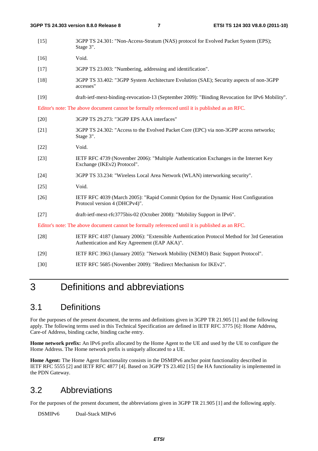| $[15]$ | 3GPP TS 24.301: "Non-Access-Stratum (NAS) protocol for Evolved Packet System (EPS);<br>Stage 3".                                            |
|--------|---------------------------------------------------------------------------------------------------------------------------------------------|
| $[16]$ | Void.                                                                                                                                       |
| $[17]$ | 3GPP TS 23.003: "Numbering, addressing and identification".                                                                                 |
| $[18]$ | 3GPP TS 33.402: "3GPP System Architecture Evolution (SAE); Security aspects of non-3GPP<br>accesses"                                        |
| $[19]$ | draft-ietf-mext-binding-revocation-13 (September 2009): "Binding Revocation for IPv6 Mobility".                                             |
|        | Editor's note: The above document cannot be formally referenced until it is published as an RFC.                                            |
| $[20]$ | 3GPP TS 29.273: "3GPP EPS AAA interfaces"                                                                                                   |
| $[21]$ | 3GPP TS 24.302: "Access to the Evolved Packet Core (EPC) via non-3GPP access networks;<br>Stage 3".                                         |
| $[22]$ | Void.                                                                                                                                       |
| $[23]$ | IETF RFC 4739 (November 2006): "Multiple Authentication Exchanges in the Internet Key<br>Exchange (IKEv2) Protocol".                        |
| $[24]$ | 3GPP TS 33.234: "Wireless Local Area Network (WLAN) interworking security".                                                                 |
| $[25]$ | Void.                                                                                                                                       |
| $[26]$ | IETF RFC 4039 (March 2005): "Rapid Commit Option for the Dynamic Host Configuration<br>Protocol version 4 (DHCPv4)".                        |
| $[27]$ | draft-ietf-mext-rfc3775bis-02 (October 2008): "Mobility Support in IPv6".                                                                   |
|        | Editor's note: The above document cannot be formally referenced until it is published as an RFC.                                            |
| $[28]$ | IETF RFC 4187 (January 2006): "Extensible Authentication Protocol Method for 3rd Generation<br>Authentication and Key Agreement (EAP AKA)". |
| $[29]$ | IETF RFC 3963 (January 2005): "Network Mobility (NEMO) Basic Support Protocol".                                                             |

### [30] IETF RFC 5685 (November 2009): "Redirect Mechanism for IKEv2".

## 3 Definitions and abbreviations

## 3.1 Definitions

For the purposes of the present document, the terms and definitions given in 3GPP TR 21.905 [1] and the following apply. The following terms used in this Technical Specification are defined in IETF RFC 3775 [6]: Home Address, Care-of Address, binding cache, binding cache entry.

**Home network prefix:** An IPv6 prefix allocated by the Home Agent to the UE and used by the UE to configure the Home Address. The Home network prefix is uniquely allocated to a UE.

**Home Agent:** The Home Agent functionality consists in the DSMIPv6 anchor point functionality described in IETF RFC 5555 [2] and IETF RFC 4877 [4]. Based on 3GPP TS 23.402 [15] the HA functionality is implemented in the PDN Gateway.

## 3.2 Abbreviations

For the purposes of the present document, the abbreviations given in 3GPP TR 21.905 [1] and the following apply.

DSMIPv6 Dual-Stack MIPv6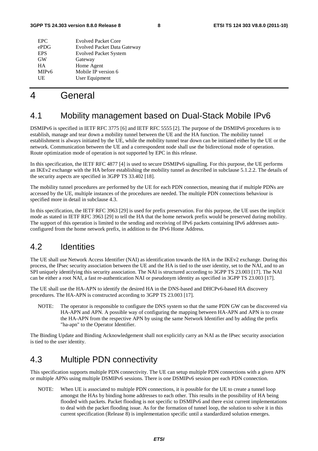| <b>EPC</b>         | <b>Evolved Packet Core</b>         |
|--------------------|------------------------------------|
| ePDG               | <b>Evolved Packet Data Gateway</b> |
| <b>EPS</b>         | <b>Evolved Packet System</b>       |
| <b>GW</b>          | Gateway                            |
| <b>HA</b>          | Home Agent                         |
| MIP <sub>v</sub> 6 | Mobile IP version 6                |
| UE                 | User Equipment                     |
|                    |                                    |

## 4 General

## 4.1 Mobility management based on Dual-Stack Mobile IPv6

DSMIPv6 is specified in IETF RFC 3775 [6] and IETF RFC 5555 [2]. The purpose of the DSMIPv6 procedures is to establish, manage and tear down a mobility tunnel between the UE and the HA function. The mobility tunnel establishment is always initiated by the UE, while the mobility tunnel tear down can be initiated either by the UE or the network. Communication between the UE and a correspondent node shall use the bidirectional mode of operation. Route optimization mode of operation is not supported by EPC in this release.

In this specification, the IETF RFC 4877 [4] is used to secure DSMIPv6 signalling. For this purpose, the UE performs an IKEv2 exchange with the HA before establishing the mobility tunnel as described in subclause 5.1.2.2. The details of the security aspects are specified in 3GPP TS 33.402 [18].

The mobility tunnel procedures are performed by the UE for each PDN connection, meaning that if multiple PDNs are accessed by the UE, multiple instances of the procedures are needed. The multiple PDN connections behaviour is specified more in detail in subclause 4.3.

In this specification, the IETF RFC 3963 [29] is used for prefix preservation. For this purpose, the UE uses the implicit mode as stated in IETF RFC 3963 [29] to tell the HA that the home network prefix would be preserved during mobility. The support of this operation is limited to the sending and receiving of IPv6 packets containing IPv6 addresses autoconfigured from the home network prefix, in addition to the IPv6 Home Address.

## 4.2 Identities

The UE shall use Network Access Identifier (NAI) as identification towards the HA in the IKEv2 exchange. During this process, the IPsec security association between the UE and the HA is tied to the user identity, set to the NAI, and to an SPI uniquely identifying this security association. The NAI is structured according to 3GPP TS 23.003 [17]. The NAI can be either a root NAI, a fast re-authentication NAI or pseudonym identity as specified in 3GPP TS 23.003 [17].

The UE shall use the HA-APN to identify the desired HA in the DNS-based and DHCPv6-based HA discovery procedures. The HA-APN is constructed according to 3GPP TS 23.003 [17].

NOTE: The operator is responsible to configure the DNS system so that the same PDN GW can be discovered via HA-APN and APN. A possible way of configuring the mapping between HA-APN and APN is to create the HA-APN from the respective APN by using the same Network Identifier and by adding the prefix "ha-apn" to the Operator Identifier.

The Binding Update and Binding Acknowledgement shall not explicitly carry an NAI as the IPsec security association is tied to the user identity.

## 4.3 Multiple PDN connectivity

This specification supports multiple PDN connectivity. The UE can setup multiple PDN connections with a given APN or multiple APNs using multiple DSMIPv6 sessions. There is one DSMIPv6 session per each PDN connection.

NOTE: When UE is associated to multiple PDN connections, it is possible for the UE to create a tunnel loop amongst the HAs by binding home addresses to each other. This results in the possibility of HA being flooded with packets. Packet flooding is not specific to DSMIPv6 and there exist current implementations to deal with the packet flooding issue. As for the formation of tunnel loop, the solution to solve it in this current specification (Release 8) is implementation specific until a standardized solution emerges.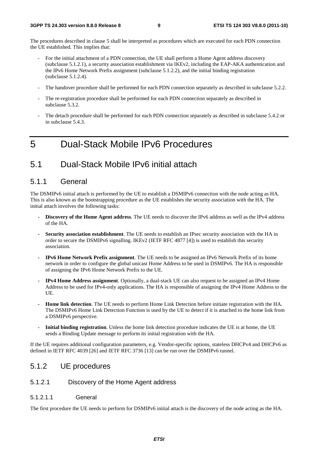The procedures described in clause 5 shall be interpreted as procedures which are executed for each PDN connection the UE established. This implies that:

- For the initial attachment of a PDN connection, the UE shall perform a Home Agent address discovery (subclause 5.1.2.1), a security association establishment via IKEv2, including the EAP-AKA authentication and the IPv6 Home Network Prefix assignment (subclause 5.1.2.2), and the initial binding registration (subclause 5.1.2.4).
- The handover procedure shall be performed for each PDN connection separately as described in subclause 5.2.2.
- The re-registration procedure shall be performed for each PDN connection separately as described in subclause 5.3.2.
- The detach procedure shall be performed for each PDN connection separately as described in subclause 5.4.2 or in subclause 5.4.3.

## 5 Dual-Stack Mobile IPv6 Procedures

## 5.1 Dual-Stack Mobile IPv6 initial attach

### 5.1.1 General

The DSMIPv6 initial attach is performed by the UE to establish a DSMIPv6 connection with the node acting as HA. This is also known as the bootstrapping procedure as the UE establishes the security association with the HA. The initial attach involves the following tasks:

- **Discovery of the Home Agent address**. The UE needs to discover the IPv6 address as well as the IPv4 address of the HA.
- **Security association establishment**. The UE needs to establish an IPsec security association with the HA in order to secure the DSMIPv6 signalling. IKEv2 (IETF RFC 4877 [4]) is used to establish this security association.
- **IPv6 Home Network Prefix assignment**. The UE needs to be assigned an IPv6 Network Prefix of its home network in order to configure the global unicast Home Address to be used in DSMIPv6. The HA is responsible of assigning the IPv6 Home Network Prefix to the UE.
- **IPv4 Home Address assignment**. Optionally, a dual-stack UE can also request to be assigned an IPv4 Home Address to be used for IPv4-only applications. The HA is responsible of assigning the IPv4 Home Address to the UE.
- **Home link detection**. The UE needs to perform Home Link Detection before initiate registration with the HA. The DSMIPv6 Home Link Detection Function is used by the UE to detect if it is attached to the home link from a DSMIPv6 perspective.
- **Initial binding registration**. Unless the home link detection procedure indicates the UE is at home, the UE sends a Binding Update message to perform its initial registration with the HA.

If the UE requires additional configuration parameters, e.g. Vendor-specific options, stateless DHCPv4 and DHCPv6 as defined in IETF RFC 4039 [26] and IETF RFC 3736 [13] can be run over the DSMIPv6 tunnel.

### 5.1.2 UE procedures

### 5.1.2.1 Discovery of the Home Agent address

### 5.1.2.1.1 General

The first procedure the UE needs to perform for DSMIPv6 initial attach is the discovery of the node acting as the HA.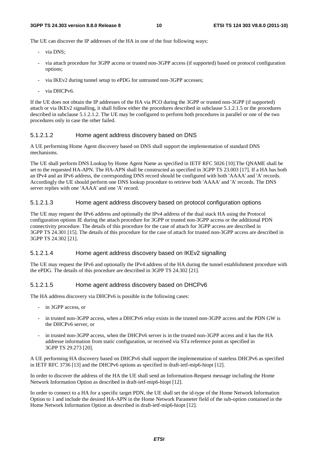The UE can discover the IP addresses of the HA in one of the four following ways:

- via DNS:
- via attach procedure for 3GPP access or trusted non-3GPP access (if supported) based on protocol configuration options;
- via IKEv2 during tunnel setup to ePDG for untrusted non-3GPP accesses;
- via DHCPv6.

If the UE does not obtain the IP addresses of the HA via PCO during the 3GPP or trusted non-3GPP (if supported) attach or via IKEv2 signalling, it shall follow either the procedures described in subclause 5.1.2.1.5 or the procedures described in subclause 5.1.2.1.2. The UE may be configured to perform both procedures in parallel or one of the two procedures only in case the other failed.

### 5.1.2.1.2 Home agent address discovery based on DNS

A UE performing Home Agent discovery based on DNS shall support the implementation of standard DNS mechanisms.

The UE shall perform DNS Lookup by Home Agent Name as specified in IETF RFC 5026 [10].The QNAME shall be set to the requested HA-APN. The HA-APN shall be constructed as specified in 3GPP TS 23.003 [17]. If a HA has both an IPv4 and an IPv6 address, the corresponding DNS record should be configured with both 'AAAA' and 'A' records. Accordingly the UE should perform one DNS lookup procedure to retrieve both 'AAAA' and 'A' records. The DNS server replies with one 'AAAA' and one 'A' record.

### 5.1.2.1.3 Home agent address discovery based on protocol configuration options

The UE may request the IPv6 address and optionally the IPv4 address of the dual stack HA using the Protocol configuration options IE during the attach procedure for 3GPP or trusted non-3GPP access or the additional PDN connectivity procedure. The details of this procedure for the case of attach for 3GPP access are described in 3GPP TS 24.301 [15]. The details of this procedure for the case of attach for trusted non-3GPP access are described in 3GPP TS 24.302 [21].

### 5.1.2.1.4 Home agent address discovery based on IKEv2 signalling

The UE may request the IPv6 and optionally the IPv4 address of the HA during the tunnel establishment procedure with the ePDG. The details of this procedure are described in 3GPP TS 24.302 [21].

### 5.1.2.1.5 Home agent address discovery based on DHCPv6

The HA address discovery via DHCPv6 is possible in the following cases:

- in 3GPP access, or
- in trusted non-3GPP access, when a DHCPv6 relay exists in the trusted non-3GPP access and the PDN GW is the DHCPv6 server, or
- in trusted non-3GPP access, when the DHCPv6 server is in the trusted non-3GPP access and it has the HA addresse information from static configuration, or received via STa reference point as specified in 3GPP TS 29.273 [20].

A UE performing HA discovery based on DHCPv6 shall support the implementation of stateless DHCPv6 as specified in IETF RFC 3736 [13] and the DHCPv6 options as specified in draft-ietf-mip6-hiopt [12].

In order to discover the address of the HA the UE shall send an Information-Request message including the Home Network Information Option as described in draft-ietf-mip6-hiopt [12].

In order to connect to a HA for a specific target PDN, the UE shall set the id-type of the Home Network Information Option to 1 and include the desired HA-APN in the Home Network Parameter field of the sub-option contained in the Home Network Information Option as described in draft-ietf-mip6-hiopt [12].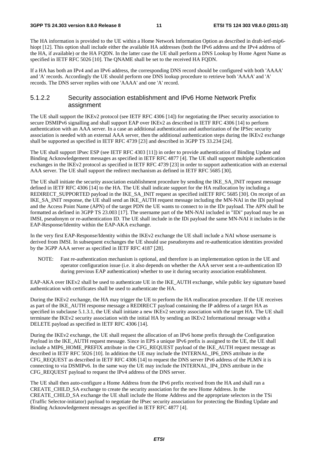The HA information is provided to the UE within a Home Network Information Option as described in draft-ietf-mip6 hiopt [12]. This option shall include either the available HA addresses (both the IPv6 address and the IPv4 address of the HA, if available) or the HA FQDN. In the latter case the UE shall perform a DNS Lookup by Home Agent Name as specified in IETF RFC 5026 [10]. The QNAME shall be set to the received HA FQDN.

If a HA has both an IPv4 and an IPv6 address, the corresponding DNS record should be configured with both 'AAAA' and 'A' records. Accordingly the UE should perform one DNS lookup procedure to retrieve both 'AAAA' and 'A' records. The DNS server replies with one 'AAAA' and one 'A' record.

### 5.1.2.2 Security association establishment and IPv6 Home Network Prefix assignment

The UE shall support the IKEv2 protocol (see IETF RFC 4306 [14]) for negotiating the IPsec security association to secure DSMIPv6 signalling and shall support EAP over IKEv2 as described in IETF RFC 4306 [14] to perform authentication with an AAA server. In a case an additional authentication and authorization of the IPSec security association is needed with an external AAA server, then the additional authentication steps during the IKEv2 exchange shall be supported as specified in IETF RFC 4739 [23] and described in 3GPP TS 33.234 [24].

The UE shall support IPsec ESP (see IETF RFC 4303 [11]) in order to provide authentication of Binding Update and Binding Acknowledgement messages as specified in IETF RFC 4877 [4]. The UE shall support multiple authentication exchanges in the IKEv2 protocol as specified in IETF RFC 4739 [23] in order to support authentication with an external AAA server. The UE shall support the redirect mechanism as defined in IETF RFC 5685 [30].

The UE shall initiate the security association establishment procedure by sending the IKE\_SA\_INIT request message defined in IETF RFC 4306 [14] to the HA. The UE shall indicate support for the HA reallocation by including a REDIRECT\_SUPPORTED payload in the IKE\_SA\_INIT request as specified inIETF RFC 5685 [30]. On receipt of an IKE\_SA\_INIT response, the UE shall send an IKE\_AUTH request message including the MN-NAI in the IDi payload and the Access Point Name (APN) of the target PDN the UE wants to connect to in the IDr payload. The APN shall be formatted as defined in 3GPP TS 23.003 [17]. The username part of the MN-NAI included in "IDi" payload may be an IMSI, pseudonym or re-authentication ID. The UE shall include in the IDi payload the same MN-NAI it includes in the EAP-Response/Identity within the EAP-AKA exchange.

In the very first EAP-Response/Identity within the IKEv2 exchange the UE shall include a NAI whose username is derived from IMSI. In subsequent exchanges the UE should use pseudonyms and re-authentication identities provided by the 3GPP AAA server as specified in IETF RFC 4187 [28].

NOTE: Fast re-authentication mechanism is optional, and therefore is an implementation option in the UE and operator configuration issue (i.e. it also depends on whether the AAA server sent a re-authentication ID during previous EAP authentication) whether to use it during security association establishment.

EAP-AKA over IKEv2 shall be used to authenticate UE in the IKE\_AUTH exchange, while public key signature based authentication with certificates shall be used to authenticate the HA.

During the IKEv2 exchange, the HA may trigger the UE to perform the HA reallocation procedure. If the UE receives as part of the IKE\_AUTH response message a REDIRECT payload containing the IP address of a target HA as specified in subclause 5.1.3.1, the UE shall initiate a new IKEv2 security association with the target HA. The UE shall terminate the IKEv2 security association with the initial HA by sending an IKEv2 Informational message with a DELETE payload as specified in IETF RFC 4306 [14].

During the IKEv2 exchange, the UE shall request the allocation of an IPv6 home prefix through the Configuration Payload in the IKE\_AUTH request message. Since in EPS a unique IPv6 prefix is assigned to the UE, the UE shall include a MIP6\_HOME\_PREFIX attribute in the CFG\_REQUEST payload of the IKE\_AUTH request message as described in IETF RFC 5026 [10]. In addition the UE may include the INTERNAL\_IP6\_DNS attribute in the CFG\_REQUEST as described in IETF RFC 4306 [14] to request the DNS server IPv6 address of the PLMN it is connecting to via DSMIPv6. In the same way the UE may include the INTERNAL\_IP4\_DNS attribute in the CFG\_REQUEST payload to request the IPv4 address of the DNS server.

The UE shall then auto-configure a Home Address from the IPv6 prefix received from the HA and shall run a CREATE\_CHILD\_SA exchange to create the security association for the new Home Address. In the CREATE\_CHILD\_SA exchange the UE shall include the Home Address and the appropriate selectors in the TSi (Traffic Selector-initiator) payload to negotiate the IPsec security association for protecting the Binding Update and Binding Acknowledgement messages as specified in IETF RFC 4877 [4].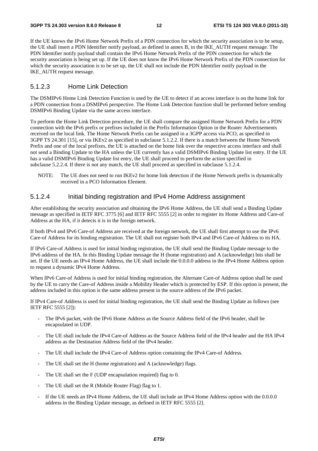If the UE knows the IPv6 Home Network Prefix of a PDN connection for which the security association is to be setup, the UE shall insert a PDN Identifier notify payload, as defined in annex B, in the IKE\_AUTH request message. The PDN Identifier notify payload shall contain the IPv6 Home Network Prefix of the PDN connection for which the security association is being set up. If the UE does not know the IPv6 Home Network Prefix of the PDN connection for which the security association is to be set up, the UE shall not include the PDN Identifier notify payload in the IKE\_AUTH request message.

### 5.1.2.3 Home Link Detection

The DSMIPv6 Home Link Detection Function is used by the UE to detect if an access interface is on the home link for a PDN connection from a DSMIPv6 perspective. The Home Link Detection function shall be performed before sending DSMIPv6 Binding Update via the same access interface.

To perform the Home Link Detection procedure, the UE shall compare the assigned Home Network Prefix for a PDN connection with the IPv6 prefix or prefixes included in the Prefix Information Option in the Router Advertisements received on the local link. The Home Network Prefix can be assigned in a 3GPP access via PCO, as specified in 3GPP TS 24.301 [15], or via IKEv2 as specified in subclause 5.1.2.2. If there is a match between the Home Network Prefix and one of the local prefixes, the UE is attached on the home link over the respective access interface and shall not send a Binding Update to the HA unless the UE currently has a valid DSMIPv6 Binding Update list entry. If the UE has a valid DSMIPv6 Binding Update list entry, the UE shall proceed to perform the action specified in subclause 5.2.2.4. If there is not any match, the UE shall proceed as specified in subclause 5.1.2.4.

NOTE: The UE does not need to run IKEv2 for home link detection if the Home Network prefix is dynamically received in a PCO Information Element.

### 5.1.2.4 Initial binding registration and IPv4 Home Address assignment

After establishing the security association and obtaining the IPv6 Home Address, the UE shall send a Binding Update message as specified in IETF RFC 3775 [6] and IETF RFC 5555 [2] in order to register its Home Address and Care-of Address at the HA, if it detects it is in the foreign network.

If both IPv4 and IPv6 Care-of Address are received at the foreign network, the UE shall first attempt to use the IPv6 Care-of Address for its binding registration. The UE shall not register both IPv4 and IPv6 Care-of Address to its HA.

If IPv6 Care-of Address is used for initial binding registration, the UE shall send the Binding Update message to the IPv6 address of the HA. In this Binding Update message the H (home registration) and A (acknowledge) bits shall be set. If the UE needs an IPv4 Home Address, the UE shall include the 0.0.0.0 address in the IPv4 Home Address option to request a dynamic IPv4 Home Address.

When IPv6 Care-of Address is used for initial binding registration, the Alternate Care-of Address option shall be used by the UE to carry the Care-of Address inside a Mobility Header which is protected by ESP. If this option is present, the address included in this option is the same address present in the source address of the IPv6 packet.

If IPv4 Care-of Address is used for initial binding registration, the UE shall send the Binding Update as follows (see IETF RFC 5555 [2]):

- The IPv6 packet, with the IPv6 Home Address as the Source Address field of the IPv6 header, shall be encapsulated in UDP.
- The UE shall include the IPv4 Care-of Address as the Source Address field of the IPv4 header and the HA IPv4 address as the Destination Address field of the IPv4 header.
- The UE shall include the IPv4 Care-of Address option containing the IPv4 Care-of Address.
- The UE shall set the H (home registration) and A (acknowledge) flags.
- The UE shall set the F (UDP encapsulation required) flag to 0.
- The UE shall set the R (Mobile Router Flag) flag to 1.
- If the UE needs an IPv4 Home Address, the UE shall include an IPv4 Home Address option with the 0.0.0.0 address in the Binding Update message, as defined in IETF RFC 5555 [2].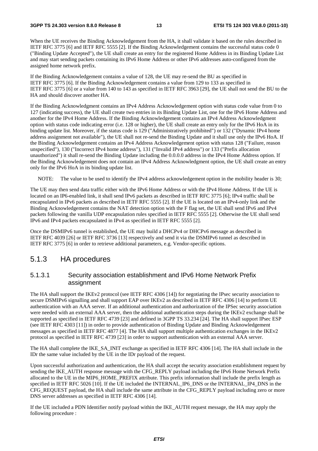When the UE receives the Binding Acknowledgement from the HA, it shall validate it based on the rules described in IETF RFC 3775 [6] and IETF RFC 5555 [2]. If the Binding Acknowledgement contains the successful status code 0 ("Binding Update Accepted"), the UE shall create an entry for the registered Home Address in its Binding Update List and may start sending packets containing its IPv6 Home Address or other IPv6 addresses auto-configured from the assigned home network prefix.

If the Binding Acknowledgement contains a value of 128, the UE may re-send the BU as specified in IETF RFC 3775 [6]. If the Binding Acknowledgement contains a value from 129 to 133 as specified in IETF RFC 3775 [6] or a value from 140 to 143 as specified in IETF RFC 3963 [29], the UE shall not send the BU to the HA and should discover another HA.

If the Binding Acknowledgment contains an IPv4 Address Acknowledgement option with status code value from 0 to 127 (indicating success), the UE shall create two entries in its Binding Update List, one for the IPv6 Home Address and another for the IPv4 Home Address. If the Binding Acknowledgement contains an IPv4 Address Acknowledgment option with status code indicating error (i.e. 128 or higher), the UE shall create an entry only for the IPv6 HoA in its binding update list. Moreover, if the status code is 129 ("Administratively prohibited") or 132 ("Dynamic IPv4 home address assignment not available"), the UE shall not re-send the Binding Update and it shall use only the IPv6 HoA. If the Binding Acknowledgement contains an IPv4 Address Acknowledgement option with status 128 ("Failure, reason unspecified"), 130 ("Incorrect IPv4 home address"), 131 ("Invalid IPv4 address") or 133 ("Prefix allocation unauthorized") it shall re-send the Binding Update including the 0.0.0.0 address in the IPv4 Home Address option. If the Binding Acknowledgement does not contain an IPv4 Address Acknowledgment option, the UE shall create an entry only for the IPv6 HoA in its binding update list.

NOTE: The value to be used to identify the IPv4 address acknowledgement option in the mobility header is 30;

The UE may then send data traffic either with the IPv6 Home Address or with the IPv4 Home Address. If the UE is located on an IP6-enabled link, it shall send IPv6 packets as described in IETF RFC 3775 [6]; IPv4 traffic shall be encapsulated in IPv6 packets as described in IETF RFC 5555 [2]. If the UE is located on an IPv4-only link and the Binding Acknowledgement contains the NAT detection option with the F flag set, the UE shall send IPv6 and IPv4 packets following the vanilla UDP encapsulation rules specified in IETF RFC 5555 [2]. Otherwise the UE shall send IPv6 and IPv4 packets encapsulated in IPv4 as specified in IETF RFC 5555 [2].

Once the DSMIPv6 tunnel is established, the UE may build a DHCPv4 or DHCPv6 message as described in IETF RFC 4039 [26] or IETF RFC 3736 [13] respectively and send it via the DSMIPv6 tunnel as described in IETF RFC 3775 [6] in order to retrieve additional parameters, e.g. Vendor-specific options.

### 5.1.3 HA procedures

### 5.1.3.1 Security association establishment and IPv6 Home Network Prefix assignment

The HA shall support the IKEv2 protocol (see IETF RFC 4306 [14]) for negotiating the IPsec security association to secure DSMIPv6 signalling and shall support EAP over IKEv2 as described in IETF RFC 4306 [14] to perform UE authentication with an AAA server. If an additional authentication and authorization of the IPSec security association were needed with an external AAA server, then the additional authentication steps during the IKEv2 exchange shall be supported as specified in IETF RFC 4739 [23] and defined in 3GPP TS 33.234 [24]. The HA shall support IPsec ESP (see IETF RFC 4303 [11]) in order to provide authentication of Binding Update and Binding Acknowledgement messages as specified in IETF RFC 4877 [4]. The HA shall support multiple authentication exchanges in the IKEv2 protocol as specified in IETF RFC 4739 [23] in order to support authentication with an external AAA server.

The HA shall complete the IKE\_SA\_INIT exchange as specified in IETF RFC 4306 [14]. The HA shall include in the IDr the same value included by the UE in the IDr payload of the request.

Upon successful authorization and authentication, the HA shall accept the security association establishment request by sending the IKE\_AUTH response message with the CFG\_REPLY payload including the IPv6 Home Network Prefix allocated to the UE in the MIP6\_HOME\_PREFIX attribute. This prefix information shall include the prefix length as specified in IETF RFC 5026 [10]. If the UE included the INTERNAL IP6 DNS or the INTERNAL IP4 DNS in the CFG\_REQUEST payload, the HA shall include the same attribute in the CFG\_REPLY payload including zero or more DNS server addresses as specified in IETF RFC 4306 [14].

If the UE included a PDN Identifier notify payload within the IKE\_AUTH request message, the HA may apply the following procedure :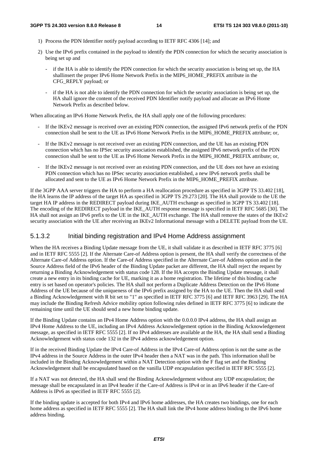- 1) Process the PDN Identifier notify payload according to IETF RFC 4306 [14]; and
- 2) Use the IPv6 prefix contained in the payload to identify the PDN connection for which the security association is being set up and
	- if the HA is able to identify the PDN connection for which the security association is being set up, the HA shallinsert the proper IPv6 Home Network Prefix in the MIP6\_HOME\_PREFIX attribute in the CFG\_REPLY payload; or
	- if the HA is not able to identify the PDN connection for which the security association is being set up, the HA shall ignore the content of the received PDN Identifier notify payload and allocate an IPv6 Home Network Prefix as described below.

When allocating an IPv6 Home Network Prefix, the HA shall apply one of the following procedures:

- If the IKEv2 message is received over an existing PDN connection, the assigned IPv6 network prefix of the PDN connection shall be sent to the UE as IPv6 Home Network Prefix in the MIP6\_HOME\_PREFIX attribute; or,
- If the IKEv2 message is not received over an existing PDN connection, and the UE has an existing PDN connection which has no IPSec security association established, the assigned IPv6 network prefix of the PDN connection shall be sent to the UE as IPv6 Home Network Prefix in the MIP6\_HOME\_PREFIX attribute; or,
- If the IKEv2 message is not received over an existing PDN connection, and the UE does not have an existing PDN connection which has no IPSec security association established, a new IPv6 network prefix shall be allocated and sent to the UE as IPv6 Home Network Prefix in the MIP6\_HOME\_PREFIX attribute.

If the 3GPP AAA server triggers the HA to perform a HA reallocation procedure as specified in 3GPP TS 33.402 [18], the HA learns the IP address of the target HA as specified in 3GPP TS 29.273 [20]. The HA shall provide to the UE the target HA IP address in the REDIRECT payload during IKE\_AUTH exchange as specified in 3GPP TS 33.402 [18]. The encoding of the REDIRECT payload in the IKE\_AUTH response message is specified in IETF RFC 5685 [30]. The HA shall not assign an IPv6 prefix to the UE in the IKE\_AUTH exchange. The HA shall remove the states of the IKEv2 security association with the UE after receiving an IKEv2 Informational message with a DELETE payload from the UE.

### 5.1.3.2 Initial binding registration and IPv4 Home Address assignment

When the HA receives a Binding Update message from the UE, it shall validate it as described in IETF RFC 3775 [6] and in IETF RFC 5555 [2]. If the Alternate Care-of Address option is present, the HA shall verify the correctness of the Alternate Care-of Address option. If the Care-of Address specified in the Alternate Care-of Address option and in the Source Address field of the IPv6 header of the Binding Update packet are different, the HA shall reject the request by returning a Binding Acknowledgement with status code 128. If the HA accepts the Binding Update message, it shall create a new entry in its binding cache for UE, marking it as a home registration. The lifetime of this binding cache entry is set based on operator's policies. The HA shall not perform a Duplicate Address Detection on the IPv6 Home Address of the UE because of the uniqueness of the IPv6 prefix assigned by the HA to the UE. Then the HA shall send a Binding Acknowledgement with R bit set to "1" as specified in IETF RFC 3775 [6] and IETF RFC 3963 [29]. The HA may include the Binding Refresh Advice mobility option following rules defined in IETF RFC 3775 [6] to indicate the remaining time until the UE should send a new home binding update.

If the Binding Update contains an IPv4 Home Address option with the 0.0.0.0 IPv4 address, the HA shall assign an IPv4 Home Address to the UE, including an IPv4 Address Acknowledgement option in the Binding Acknowledgement message, as specified in IETF RFC 5555 [2]. If no IPv4 addresses are available at the HA, the HA shall send a Binding Acknowledgement with status code 132 in the IPv4 address acknowledgement option.

If in the received Binding Update the IPv4 Care-of Address in the IPv4 Care-of Address option is not the same as the IPv4 address in the Source Address in the outer IPv4 header then a NAT was in the path. This information shall be included in the Binding Acknowledgement within a NAT Detection option with the F flag set and the Binding Acknowledgement shall be encapsulated based on the vanilla UDP encapsulation specified in IETF RFC 5555 [2].

If a NAT was not detected, the HA shall send the Binding Acknowledgement without any UDP encapsulation; the message shall be encapsulated in an IPv4 header if the Care-of Address is IPv4 or in an IPv6 header if the Care-of Address is IPv6 as specified in IETF RFC 5555 [2].

If the binding update is accepted for both IPv4 and IPv6 home addresses, the HA creates two bindings, one for each home address as specified in IETF RFC 5555 [2]. The HA shall link the IPv4 home address binding to the IPv6 home address binding.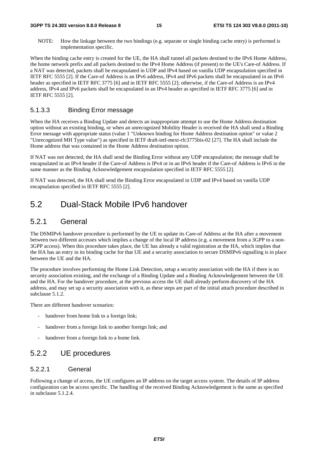NOTE: How the linkage between the two bindings (e.g. separate or single binding cache entry) is performed is implementation specific.

When the binding cache entry is created for the UE, the HA shall tunnel all packets destined to the IPv6 Home Address, the home network prefix and all packets destined to the IPv4 Home Address (if present) to the UE's Care-of Address. If a NAT was detected, packets shall be encapsulated in UDP and IPv4 based on vanilla UDP encapsulation specified in IETF RFC 5555 [2]. If the Care-of Address is an IPv6 address, IPv4 and IPv6 packets shall be encapsulated in an IPv6 header as specified in IETF RFC 3775 [6] and in IETF RFC 5555 [2]; otherwise, if the Care-of Address is an IPv4 address, IPv4 and IPv6 packets shall be encapsulated in an IPv4 header as specified in IETF RFC 3775 [6] and in IETF RFC 5555 [2].

### 5.1.3.3 Binding Error message

When the HA receives a Binding Update and detects an inappropriate attempt to use the Home Address destination option without an existing binding, or when an unrecognized Mobility Header is received the HA shall send a Binding Error message with appropriate status (value 1 "Unknown binding for Home Address destination option" or value 2 "Unrecognized MH Type value") as specified in IETF draft-ietf-mext-rfc3775bis-02 [27]. The HA shall include the Home address that was contained in the Home Address destination option.

If NAT was not detected, the HA shall send the Binding Error without any UDP encapsulation; the message shall be encapsulated in an IPv4 header if the Care-of Address is IPv4 or in an IPv6 header if the Care-of Address is IPv6 in the same manner as the Binding Acknowledgement encapsulation specified in IETF RFC 5555 [2].

If NAT was detected, the HA shall send the Binding Error encapsulated in UDP and IPv4 based on vanilla UDP encapsulation specified in IETF RFC 5555 [2].

## 5.2 Dual-Stack Mobile IPv6 handover

## 5.2.1 General

The DSMIPv6 handover procedure is performed by the UE to update its Care-of Address at the HA after a movement between two different accesses which implies a change of the local IP address (e.g. a movement from a 3GPP to a non-3GPP access). When this procedure takes place, the UE has already a valid registration at the HA, which implies that the HA has an entry in its binding cache for that UE and a security association to secure DSMIPv6 signalling is in place between the UE and the HA.

The procedure involves performing the Home Link Detection, setup a security association with the HA if there is no security association existing, and the exchange of a Binding Update and a Binding Acknowledgement between the UE and the HA. For the handover procedure, at the previous access the UE shall already perform discovery of the HA address, and may set up a security association with it, as these steps are part of the initial attach procedure described in subclause 5.1.2.

There are different handover scenarios:

- handover from home link to a foreign link;
- handover from a foreign link to another foreign link; and
- handover from a foreign link to a home link.

## 5.2.2 UE procedures

### 5.2.2.1 General

Following a change of access, the UE configures an IP address on the target access system. The details of IP address configuration can be access specific. The handling of the received Binding Acknowledgement is the same as specified in subclause 5.1.2.4.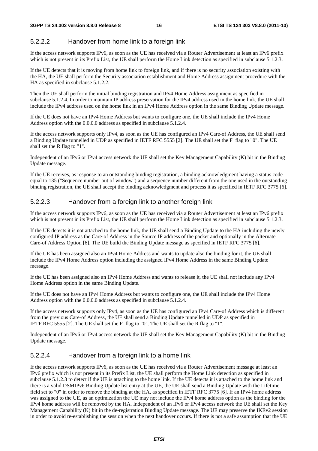## 5.2.2.2 Handover from home link to a foreign link

If the access network supports IPv6, as soon as the UE has received via a Router Advertisement at least an IPv6 prefix which is not present in its Prefix List, the UE shall perform the Home Link detection as specified in subclause 5.1.2.3.

If the UE detects that it is moving from home link to foreign link, and if there is no security association existing with the HA, the UE shall perform the Security association establishment and Home Address assignment procedure with the HA as specified in subclause 5.1.2.2.

Then the UE shall perform the initial binding registration and IPv4 Home Address assignment as specified in subclause 5.1.2.4. In order to maintain IP address preservation for the IPv4 address used in the home link, the UE shall include the IPv4 address used on the home link in an IPv4 Home Address option in the same Binding Update message.

If the UE does not have an IPv4 Home Address but wants to configure one, the UE shall include the IPv4 Home Address option with the 0.0.0.0 address as specified in subclause 5.1.2.4.

If the access network supports only IPv4, as soon as the UE has configured an IPv4 Care-of Address, the UE shall send a Binding Update tunnelled in UDP as specified in IETF RFC 5555 [2]. The UE shall set the F flag to "0". The UE shall set the R flag to "1".

Independent of an IPv6 or IPv4 access network the UE shall set the Key Management Capability (K) bit in the Binding Update message.

If the UE receives, as response to an outstanding binding registration, a binding acknowledgment having a status code equal to 135 ("Sequence number out of window") and a sequence number different from the one used in the outstanding binding registration, the UE shall accept the binding acknowledgment and process it as specified in IETF RFC 3775 [6].

### 5.2.2.3 Handover from a foreign link to another foreign link

If the access network supports IPv6, as soon as the UE has received via a Router Advertisement at least an IPv6 prefix which is not present in its Prefix List, the UE shall perform the Home Link detection as specified in subclause 5.1.2.3.

If the UE detects it is not attached to the home link, the UE shall send a Binding Update to the HA including the newly configured IP address as the Care-of Address in the Source IP address of the packet and optionally in the Alternate Care-of Address Option [6]. The UE build the Binding Update message as specified in IETF RFC 3775 [6].

If the UE has been assigned also an IPv4 Home Address and wants to update also the binding for it, the UE shall include the IPv4 Home Address option including the assigned IPv4 Home Address in the same Binding Update message.

If the UE has been assigned also an IPv4 Home Address and wants to release it, the UE shall not include any IPv4 Home Address option in the same Binding Update.

If the UE does not have an IPv4 Home Address but wants to configure one, the UE shall include the IPv4 Home Address option with the 0.0.0.0 address as specified in subclause 5.1.2.4.

If the access network supports only IPv4, as soon as the UE has configured an IPv4 Care-of Address which is different from the previous Care-of Address, the UE shall send a Binding Update tunnelled in UDP as specified in IETF RFC 5555 [2]. The UE shall set the F flag to "0". The UE shall set the R flag to "1".

Independent of an IPv6 or IPv4 access network the UE shall set the Key Management Capability (K) bit in the Binding Update message.

### 5.2.2.4 Handover from a foreign link to a home link

If the access network supports IPv6, as soon as the UE has received via a Router Advertisement message at least an IPv6 prefix which is not present in its Prefix List, the UE shall perform the Home Link detection as specified in subclause 5.1.2.3 to detect if the UE is attaching to the home link. If the UE detects it is attached to the home link and there is a valid DSMIPv6 Binding Update list entry at the UE, the UE shall send a Binding Update with the Lifetime field set to "0" in order to remove the binding at the HA, as specified in IETF RFC 3775 [6]. If an IPv4 home address was assigned to the UE, as an optimization the UE may not include the IPv4 home address option as the binding for the IPv4 home address will be removed by the HA. Independent of an IPv6 or IPv4 access network the UE shall set the Key Management Capability (K) bit in the de-registration Binding Update message. The UE may preserve the IKEv2 session in order to avoid re-establishing the session when the next handover occurs. If there is not a safe assumption that the UE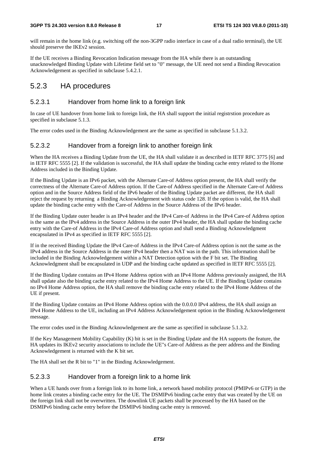will remain in the home link (e.g. switching off the non-3GPP radio interface in case of a dual radio terminal), the UE should preserve the IKEv2 session.

If the UE receives a Binding Revocation Indication message from the HA while there is an outstanding unacknowledged Binding Update with Lifetime field set to "0" message, the UE need not send a Binding Revocation Acknowledgement as specified in subclause 5.4.2.1.

## 5.2.3 HA procedures

### 5.2.3.1 Handover from home link to a foreign link

In case of UE handover from home link to foreign link, the HA shall support the initial registrstion procedure as specified in subclause 5.1.3.

The error codes used in the Binding Acknowledgement are the same as specified in subclause 5.1.3.2.

### 5.2.3.2 Handover from a foreign link to another foreign link

When the HA receives a Binding Update from the UE, the HA shall validate it as described in IETF RFC 3775 [6] and in IETF RFC 5555 [2]. If the validation is successful, the HA shall update the binding cache entry related to the Home Address included in the Binding Update.

If the Binding Update is an IPv6 packet, with the Alternate Care-of Address option present, the HA shall verify the correctness of the Alternate Care-of Address option. If the Care-of Address specified in the Alternate Care-of Address option and in the Source Address field of the IPv6 header of the Binding Update packet are different, the HA shall reject the request by returning a Binding Acknowledgement with status code 128. If the option is valid, the HA shall update the binding cache entry with the Care-of Address in the Source Address of the IPv6 header.

If the Binding Update outer header is an IPv4 header and the IPv4 Care-of Address in the IPv4 Care-of Address option is the same as the IPv4 address in the Source Address in the outer IPv4 header, the HA shall update the binding cache entry with the Care-of Address in the IPv4 Care-of Address option and shall send a Binding Acknowledgment encapsulated in IPv4 as specified in IETF RFC 5555 [2].

If in the received Binding Update the IPv4 Care-of Address in the IPv4 Care-of Address option is not the same as the IPv4 address in the Source Address in the outer IPv4 header then a NAT was in the path. This information shall be included in the Binding Acknowledgement within a NAT Detection option with the F bit set. The Binding Acknowledgment shall be encapsulated in UDP and the binding cache updated as specified in IETF RFC 5555 [2].

If the Binding Update contains an IPv4 Home Address option with an IPv4 Home Address previously assigned, the HA shall update also the binding cache entry related to the IPv4 Home Address to the UE. If the Binding Update contains no IPv4 Home Address option, the HA shall remove the binding cache entry related to the IPv4 Home Address of the UE if present.

If the Binding Update contains an IPv4 Home Address option with the 0.0.0.0 IPv4 address, the HA shall assign an IPv4 Home Address to the UE, including an IPv4 Address Acknowledgement option in the Binding Acknowledgement message.

The error codes used in the Binding Acknowledgement are the same as specified in subclause 5.1.3.2.

If the Key Management Mobility Capability (K) bit is set in the Binding Update and the HA supports the feature, the HA updates its IKEv2 security associations to include the UE"s Care-of Address as the peer address and the Binding Acknowledgement is returned with the K bit set.

The HA shall set the R bit to "1" in the Binding Acknowledgement.

### 5.2.3.3 Handover from a foreign link to a home link

When a UE hands over from a foreign link to its home link, a network based mobility protocol (PMIPv6 or GTP) in the home link creates a binding cache entry for the UE. The DSMIPv6 binding cache entry that was created by the UE on the foreign link shall not be overwritten. The downlink UE packets shall be processed by the HA based on the DSMIPv6 binding cache entry before the DSMIPv6 binding cache entry is removed.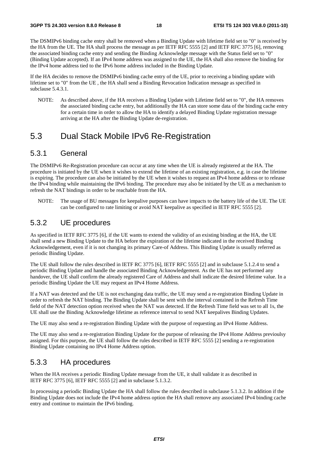The DSMIPv6 binding cache entry shall be removed when a Binding Update with lifetime field set to "0" is received by the HA from the UE. The HA shall process the message as per IETF RFC 5555 [2] and IETF RFC 3775 [6], removing the associated binding cache entry and sending the Binding Acknowledge message with the Status field set to "0" (Binding Update accepted). If an IPv4 home address was assigned to the UE, the HA shall also remove the binding for the IPv4 home address tied to the IPv6 home address included in the Binding Update.

If the HA decides to remove the DSMIPv6 binding cache entry of the UE, prior to receiving a binding update with lifetime set to "0" from the UE , the HA shall send a Binding Revocation Indication message as specified in subclause 5.4.3.1.

NOTE: As described above, if the HA receives a Binding Update with Lifetime field set to "0", the HA removes the associated binding cache entry, but additionally the HA can store some data of the binding cache entry for a certain time in order to allow the HA to identify a delayed Binding Update registration message arriving at the HA after the Binding Update de-registration.

## 5.3 Dual Stack Mobile IPv6 Re-Registration

### 5.3.1 General

The DSMIPv6 Re-Registration procedure can occur at any time when the UE is already registered at the HA. The procedure is initiated by the UE when it wishes to extend the lifetime of an existing registration, e.g. in case the lifetime is expiring. The procedure can also be initiated by the UE when it wishes to request an IPv4 home address or to release the IPv4 binding while maintaining the IPv6 binding. The procedure may also be initiated by the UE as a mechanism to refresh the NAT bindings in order to be reachable from the HA.

NOTE: The usage of BU messages for keepalive purposes can have impacts to the battery life of the UE. The UE can be configured to rate limiting or avoid NAT keepalive as specified in IETF RFC 5555 [2].

## 5.3.2 UE procedures

As specified in IETF RFC 3775 [6], if the UE wants to extend the validity of an existing binding at the HA, the UE shall send a new Binding Update to the HA before the expiration of the lifetime indicated in the received Binding Acknowledgement, even if it is not changing its primary Care-of Address. This Binding Update is usually referred as periodic Binding Update.

The UE shall follow the rules described in IETF RC 3775 [6], IETF RFC 5555 [2] and in subclause 5.1.2.4 to send a periodic Binding Update and handle the associated Binding Acknowledgement. As the UE has not performed any handover, the UE shall confirm the already registered Care of Address and shall indicate the desired lifetime value. In a periodic Binding Update the UE may request an IPv4 Home Address.

If a NAT was detected and the UE is not exchanging data traffic, the UE may send a re-registration Binding Update in order to refresh the NAT binding. The Binding Update shall be sent with the interval contained in the Refresh Time field of the NAT detection option received when the NAT was detected. If the Refresh Time field was set to all 1s, the UE shall use the Binding Acknowledge lifetime as reference interval to send NAT keepalives Binding Updates.

The UE may also send a re-registration Binding Update with the purpose of requesting an IPv4 Home Address.

The UE may also send a re-registration Binding Update for the purpose of releasing the IPv4 Home Address previoulsy assigned. For this purpose, the UE shall follow the rules described in IETF RFC 5555 [2] sending a re-registration Binding Update containing no IPv4 Home Address option.

### 5.3.3 HA procedures

When the HA receives a periodic Binding Update message from the UE, it shall validate it as described in IETF RFC 3775 [6], IETF RFC 5555 [2] and in subclause 5.1.3.2.

In processing a periodic Binding Update the HA shall follow the rules described in subclause 5.1.3.2. In addition if the Binding Update does not include the IPv4 home address option the HA shall remove any associated IPv4 binding cache entry and continue to maintain the IPv6 binding.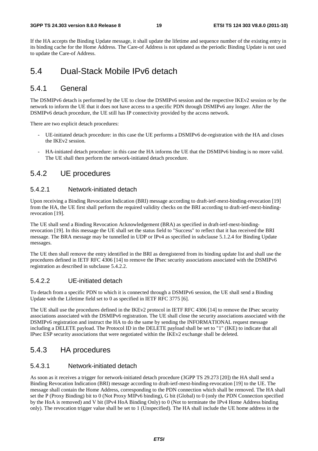### **3GPP TS 24.303 version 8.8.0 Release 8 19 ETSI TS 124 303 V8.8.0 (2011-10)**

If the HA accepts the Binding Update message, it shall update the lifetime and sequence number of the existing entry in its binding cache for the Home Address. The Care-of Address is not updated as the periodic Binding Update is not used to update the Care-of Address.

## 5.4 Dual-Stack Mobile IPv6 detach

## 5.4.1 General

The DSMIPv6 detach is performed by the UE to close the DSMIPv6 session and the respective IKEv2 session or by the network to inform the UE that it does not have access to a specific PDN through DSMIPv6 any longer. After the DSMIPv6 detach procedure, the UE still has IP connectivity provided by the access network.

There are two explicit detach procedures:

- UE-initiated detach procedure: in this case the UE performs a DSMIPv6 de-registration with the HA and closes the IKEv2 session.
- HA-initiated detach procedure: in this case the HA informs the UE that the DSMIPv6 binding is no more valid. The UE shall then perform the network-initiated detach procedure.

## 5.4.2 UE procedures

### 5.4.2.1 Network-initiated detach

Upon receiving a Binding Revocation Indication (BRI) message according to draft-ietf-mext-binding-revocation [19] from the HA, the UE first shall perform the required validity checks on the BRI according to draft-ietf-mext-bindingrevocation [19].

The UE shall send a Binding Revocation Acknowledgement (BRA) as specified in draft-ietf-mext-bindingrevocation [19]. In this message the UE shall set the status field to "Success" to reflect that it has received the BRI message. The BRA message may be tunnelled in UDP or IPv4 as specified in subclause 5.1.2.4 for Binding Update messages.

The UE then shall remove the entry identified in the BRI as deregistered from its binding update list and shall use the procedures defined in IETF RFC 4306 [14] to remove the IPsec security associations associated with the DSMIPv6 registration as described in subclause 5.4.2.2.

### 5.4.2.2 UE-initiated detach

To detach from a specific PDN to which it is connected through a DSMIPv6 session, the UE shall send a Binding Update with the Lifetime field set to 0 as specified in IETF RFC 3775 [6].

The UE shall use the procedures defined in the IKEv2 protocol in IETF RFC 4306 [14] to remove the IPsec security associations associated with the DSMIPv6 registration. The UE shall close the security associations associated with the DSMIPv6 registration and instruct the HA to do the same by sending the INFORMATIONAL request message including a DELETE payload. The Protocol ID in the DELETE payload shall be set to "1" (IKE) to indicate that all IPsec ESP security associations that were negotiated within the IKEv2 exchange shall be deleted.

## 5.4.3 HA procedures

### 5.4.3.1 Network-initiated detach

As soon as it receives a trigger for network-initiated detach procedure (3GPP TS 29.273 [20]) the HA shall send a Binding Revocation Indication (BRI) message according to draft-ietf-mext-binding-revocation [19] to the UE. The message shall contain the Home Address, corresponding to the PDN connection which shall be removed. The HA shall set the P (Proxy Binding) bit to 0 (Not Proxy MIPv6 binding), G bit (Global) to 0 (only the PDN Connection specified by the HoA is removed) and V bit (IPv4 HoA Binding Only) to 0 (Not to terminate the IPv4 Home Address binding only). The revocation trigger value shall be set to 1 (Unspecified). The HA shall include the UE home address in the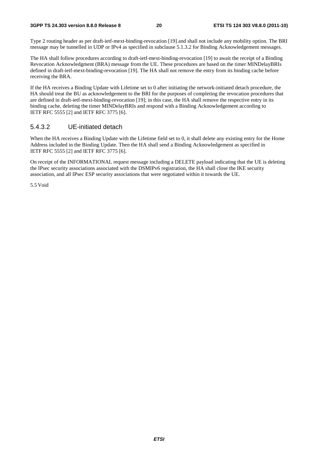### **3GPP TS 24.303 version 8.8.0 Release 8 20 ETSI TS 124 303 V8.8.0 (2011-10)**

Type 2 routing header as per draft-ietf-mext-binding-revocation [19] and shall not include any mobility option. The BRI message may be tunnelled in UDP or IPv4 as specified in subclause 5.1.3.2 for Binding Acknowledgement messages.

The HA shall follow procedures according to draft-ietf-mext-binding-revocation [19] to await the receipt of a Binding Revocation Acknowledgment (BRA) message from the UE. These procedures are based on the timer MINDelayBRIs defined in draft-ietf-mext-binding-revocation [19]. The HA shall not remove the entry from its binding cache before receiving the BRA.

If the HA receives a Binding Update with Lifetime set to 0 after initiating the network-initiated detach procedure, the HA should treat the BU as acknowledgement to the BRI for the purposes of completing the revocation procedures that are defined in draft-ietf-mext-binding-revocation [19]; in this case, the HA shall remove the respective entry in its binding cache, deleting the timer MINDelayBRIs and respond with a Binding Acknowledgement according to IETF RFC 5555 [2] and IETF RFC 3775 [6].

### 5.4.3.2 UE-initiated detach

When the HA receives a Binding Update with the Lifetime field set to 0, it shall delete any existing entry for the Home Address included in the Binding Update. Then the HA shall send a Binding Acknowledgement as specified in IETF RFC 5555 [2] and IETF RFC 3775 [6].

On receipt of the INFORMATIONAL request message including a DELETE payload indicating that the UE is deleting the IPsec security associations associated with the DSMIPv6 registration, the HA shall close the IKE security association, and all IPsec ESP security associations that were negotiated within it towards the UE.

5.5 Void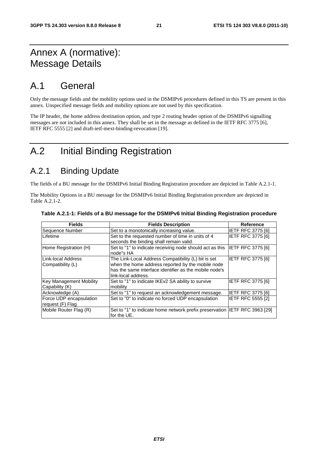## Annex A (normative): Message Details

## A.1 General

Only the message fields and the mobility options used in the DSMIPv6 procedures defined in this TS are present in this annex. Unspecified message fields and mobility options are not used by this specification.

The IP header, the home address destination option, and type 2 routing header option of the DSMIPv6 signalling messages are not included in this annex. They shall be set in the message as defined in the IETF RFC 3775 [6], IETF RFC 5555 [2] and draft-ietf-mext-binding-revocation [19].

## A.2 Initial Binding Registration

## A.2.1 Binding Update

The fields of a BU message for the DSMIPv6 Initial Binding Registration procedure are depicted in Table A.2.1-1.

The Mobility Options in a BU message for the DSMIPv6 Initial Binding Registration procedure are depicted in Table A.2.1-2.

| <b>Fields</b>                               | <b>Fields Description</b>                                                                                                                                                                 | <b>Reference</b>         |
|---------------------------------------------|-------------------------------------------------------------------------------------------------------------------------------------------------------------------------------------------|--------------------------|
| Sequence Number                             | Set to a monotonically increasing value.                                                                                                                                                  | <b>IETF RFC 3775 [6]</b> |
| Lifetime                                    | Set to the requested number of time in units of 4<br>seconds the binding shall remain valid.                                                                                              | <b>IETF RFC 3775 [6]</b> |
| Home Registration (H)                       | Set to "1" to indicate receiving node should act as this<br>node"s HA                                                                                                                     | IETF RFC 3775 [6]        |
| Link-local Address<br>Compatibility (L)     | The Link-Local Address Compatibility (L) bit is set<br>when the home address reported by the mobile node<br>has the same interface identifier as the mobile node's<br>link-local address. | IETF RFC 3775 [6]        |
| Key Management Mobility<br>Capability (K)   | Set to "1" to indicate IKEv2 SA ability to survive<br>mobility                                                                                                                            | <b>IETF RFC 3775 [6]</b> |
| Acknowledge (A)                             | Set to "1" to request an acknowledgement message.                                                                                                                                         | <b>IETF RFC 3775 [6]</b> |
| Force UDP encapsulation<br>request (F) Flag | Set to "0" to indicate no forced UDP encapsulation                                                                                                                                        | <b>IETF RFC 5555 [2]</b> |
| Mobile Router Flag (R)                      | Set to "1" to indicate home network prefix preservation IETF RFC 3963 [29]<br>for the UE.                                                                                                 |                          |

### **Table A.2.1-1: Fields of a BU message for the DSMIPv6 Initial Binding Registration procedure**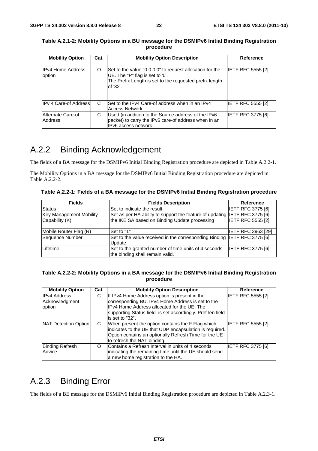| <b>Mobility Option</b>             | Cat. | <b>Mobility Option Description</b>                                                                                                                                 | <b>Reference</b>         |
|------------------------------------|------|--------------------------------------------------------------------------------------------------------------------------------------------------------------------|--------------------------|
|                                    |      |                                                                                                                                                                    |                          |
| <b>IPv4 Home Address</b><br>option | O    | Set to the value "0.0.0.0" to request allocation for the<br>UE. The "P" flag is set to '0'.<br>The Prefix Length is set to the requested prefix length<br>of '32'. | <b>IETF RFC 5555 [2]</b> |
| <b>IPv 4 Care-of Address</b>       | C    | Set to the IPv4 Care-of address when in an IPv4<br>Access Network.                                                                                                 | <b>IETF RFC 5555 [2]</b> |
| Alternate Care-of<br>Address       | С    | Used (in addition to the Source address of the IPv6<br>packet) to carry the IPv6 care-of address when in an<br>IPv6 access network.                                | <b>IETF RFC 3775 [6]</b> |

**Table A.2.1-2: Mobility Options in a BU message for the DSMIPv6 Initial Binding Registration procedure** 

## A.2.2 Binding Acknowledgement

The fields of a BA message for the DSMIPv6 Initial Binding Registration procedure are depicted in Table A.2.2-1.

The Mobility Options in a BA message for the DSMIPv6 Initial Binding Registration procedure are depicted in Table A.2.2-2.

**Table A.2.2-1: Fields of a BA message for the DSMIPv6 Initial Binding Registration procedure** 

| <b>Fields</b>                                    | <b>Fields Description</b>                                                                                                    | Reference                 |
|--------------------------------------------------|------------------------------------------------------------------------------------------------------------------------------|---------------------------|
| <b>Status</b>                                    | Set to indicate the result.                                                                                                  | <b>IETF RFC 3775 [6]</b>  |
| <b>Key Management Mobility</b><br>Capability (K) | Set as per HA ability to support the feature of updating IETF RFC 3775 [6],<br>the IKE SA based on Binding Update processing | <b>IETF RFC 5555 [2]</b>  |
| Mobile Router Flag (R)                           | Set to "1"                                                                                                                   | <b>IETF RFC 3963 [29]</b> |
| Sequence Number                                  | Set to the value received in the corresponding Binding IETF RFC 3775 [6]<br>Update.                                          |                           |
| Lifetime                                         | Set to the granted number of time units of 4 seconds<br>the binding shall remain valid.                                      | <b>IETF RFC 3775 [6]</b>  |

### **Table A.2.2-2: Mobility Options in a BA message for the DSMIPv6 Initial Binding Registration procedure**

| <b>Mobility Option</b>                          | Cat. | <b>Mobility Option Description</b>                                                                                                                                                                                                 | Reference         |
|-------------------------------------------------|------|------------------------------------------------------------------------------------------------------------------------------------------------------------------------------------------------------------------------------------|-------------------|
| <b>IPv4 Address</b><br>Acknowledgment<br>option | С    | If IPv4 Home Address option is present in the<br>corresponding BU, IPv4 Home Address is set to the<br>IPv4 Home Address allocated for the UE. The<br>supporting Status field is set accordingly. Pref-len field<br>is set to "32". | IETF RFC 5555 [2] |
| NAT Detection Option                            | C    | When present the option contains the F Flag which<br>indicates to the UE that UDP encapsulation is required.<br>Option contains an optionally Refresh Time for the UE<br>to refresh the NAT binding.                               | IETF RFC 5555 [2] |
| <b>Binding Refresh</b><br>Advice                | O    | Contains a Refresh Interval in units of 4 seconds<br>indicating the remaining time until the UE should send<br>a new home registration to the HA.                                                                                  | IETF RFC 3775 [6] |

## A.2.3 Binding Error

The fields of a BE message for the DSMIPv6 Initial Binding Registration procedure are depicted in Table A.2.3-1.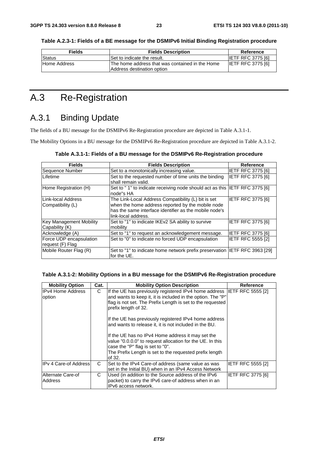| <b>Fields</b> | <b>Fields Description</b>                       | Reference                |
|---------------|-------------------------------------------------|--------------------------|
| Status        | Set to indicate the result.                     | <b>IETF RFC 3775 [6]</b> |
| Home Address  | The home address that was contained in the Home | <b>IETF RFC 3775 [6]</b> |

**Table A.2.3-1: Fields of a BE message for the DSMIPv6 Initial Binding Registration procedure** 

## A.3 Re-Registration

## A.3.1 Binding Update

The fields of a BU message for the DSMIPv6 Re-Registration procedure are depicted in Table A.3.1-1.

Address destination option

The Mobility Options in a BU message for the DSMIPv6 Re-Registration procedure are depicted in Table A.3.1-2.

| <b>Fields</b>                                    | <b>Fields Description</b>                                                                                                                                                                 | Reference                |
|--------------------------------------------------|-------------------------------------------------------------------------------------------------------------------------------------------------------------------------------------------|--------------------------|
| Sequence Number                                  | Set to a monotonically increasing value.                                                                                                                                                  | <b>IETF RFC 3775 [6]</b> |
| Lifetime                                         | Set to the requested number of time units the binding<br>shall remain valid.                                                                                                              | <b>IETF RFC 3775 [6]</b> |
| Home Registration (H)                            | Set to "1" to indicate receiving node should act as this  IETF RFC 3775 [6]<br>node"s HA                                                                                                  |                          |
| Link-local Address<br>Compatibility (L)          | The Link-Local Address Compatibility (L) bit is set<br>when the home address reported by the mobile node<br>has the same interface identifier as the mobile node's<br>link-local address. | <b>IETF RFC 3775 [6]</b> |
| <b>Key Management Mobility</b><br>Capability (K) | Set to "1" to indicate IKEv2 SA ability to survive<br>mobility                                                                                                                            | <b>IETF RFC 3775 [6]</b> |
| Acknowledge (A)                                  | Set to "1" to request an acknowledgement message.                                                                                                                                         | <b>IETF RFC 3775 [6]</b> |
| Force UDP encapsulation<br>request (F) Flag      | Set to "0" to indicate no forced UDP encapsulation                                                                                                                                        | <b>IETF RFC 5555 [2]</b> |
| Mobile Router Flag (R)                           | Set to "1" to indicate home network prefix preservation  IETF RFC 3963 [29]<br>for the UE.                                                                                                |                          |

### **Table A.3.1-2: Mobility Options in a BU message for the DSMIPv6 Re-Registration procedure**

| <b>Mobility Option</b>              | Cat. | <b>Mobility Option Description</b>                                                                                                                                                                                                                                                                                                              | Reference                |
|-------------------------------------|------|-------------------------------------------------------------------------------------------------------------------------------------------------------------------------------------------------------------------------------------------------------------------------------------------------------------------------------------------------|--------------------------|
| <b>IIPv4 Home Address</b><br>option | C    | If the UE has previously registered IPv4 home address IETF RFC 5555 [2]<br>and wants to keep it, it is included in the option. The "P"<br>flag is not set. The Prefix Length is set to the requested<br>prefix length of 32.<br>If the UE has previously registered IPv4 home address<br>and wants to release it, it is not included in the BU. |                          |
|                                     |      | If the UE has no IPv4 Home address it may set the<br>value "0.0.0.0" to request allocation for the UE. In this<br>case the "P" flag is set to "0".<br>The Prefix Length is set to the requested prefix length<br>of 32.                                                                                                                         |                          |
| <b>IPv 4 Care-of Address</b>        | C    | Set to the IPv4 Care-of address (same value as was<br>set in the Initial BU) when in an IPv4 Access Network                                                                                                                                                                                                                                     | <b>IETF RFC 5555 [2]</b> |
| Alternate Care-of<br>Address        | C    | Used (in addition to the Source address of the IPv6<br>packet) to carry the IPv6 care-of address when in an<br>IPv6 access network.                                                                                                                                                                                                             | IETF RFC 3775 [6]        |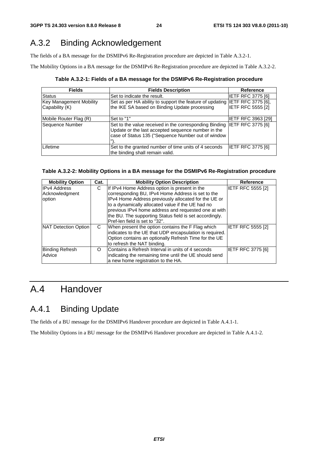## A.3.2 Binding Acknowledgement

The fields of a BA message for the DSMIPv6 Re-Registration procedure are depicted in Table A.3.2-1.

The Mobility Options in a BA message for the DSMIPv6 Re-Registration procedure are depicted in Table A.3.2-2.

**Table A.3.2-1: Fields of a BA message for the DSMIPv6 Re-Registration procedure** 

| <b>Fields</b>                                    | <b>Fields Description</b>                                                                                                                                                            | <b>Reference</b>         |
|--------------------------------------------------|--------------------------------------------------------------------------------------------------------------------------------------------------------------------------------------|--------------------------|
| <b>Status</b>                                    | Set to indicate the result.                                                                                                                                                          | <b>IETF RFC 3775 [6]</b> |
| <b>Key Management Mobility</b><br>Capability (K) | Set as per HA ability to support the feature of updating IETF RFC 3775 [6],<br>the IKE SA based on Binding Update processing                                                         | <b>IETF RFC 5555 [2]</b> |
| Mobile Router Flag (R)                           | Set to "1"                                                                                                                                                                           | IETF RFC 3963 [29]       |
| Sequence Number                                  | Set to the value received in the corresponding Binding IETF RFC 3775 [6]<br>Update or the last accepted sequence number in the<br>case of Status 135 ("Sequence Number out of window |                          |
| Lifetime                                         | Set to the granted number of time units of 4 seconds<br>the binding shall remain valid.                                                                                              | <b>IETF RFC 3775 [6]</b> |

### **Table A.3.2-2: Mobility Options in a BA message for the DSMIPv6 Re-Registration procedure**

| <b>Mobility Option</b> | Cat. | <b>Mobility Option Description</b>                      | <b>Reference</b>         |
|------------------------|------|---------------------------------------------------------|--------------------------|
| <b>IPv4 Address</b>    | С    | If IPv4 Home Address option is present in the           | IETF RFC 5555 [2]        |
| Acknowledgment         |      | corresponding BU, IPv4 Home Address is set to the       |                          |
| option                 |      | IPv4 Home Address previously allocated for the UE or    |                          |
|                        |      | to a dynamically allocated value if the UE had no       |                          |
|                        |      | previous IPv4 home address and requested one at with    |                          |
|                        |      | the BU. The supporting Status field is set accordingly. |                          |
|                        |      | Pref-len field is set to "32".                          |                          |
| NAT Detection Option   | C    | When present the option contains the F Flag which       | IETF RFC 5555 [2]        |
|                        |      | indicates to the UE that UDP encapsulation is required. |                          |
|                        |      | Option contains an optionally Refresh Time for the UE   |                          |
|                        |      | to refresh the NAT binding.                             |                          |
| <b>Binding Refresh</b> | O    | Contains a Refresh Interval in units of 4 seconds       | <b>IETF RFC 3775 [6]</b> |
| Advice                 |      | indicating the remaining time until the UE should send  |                          |
|                        |      | a new home registration to the HA.                      |                          |

## A.4 Handover

## A.4.1 Binding Update

The fields of a BU message for the DSMIPv6 Handover procedure are depicted in Table A.4.1-1.

The Mobility Options in a BU message for the DSMIPv6 Handover procedure are depicted in Table A.4.1-2.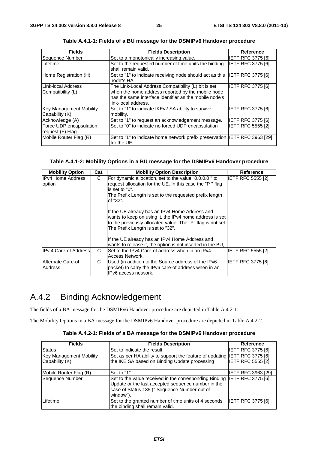| <b>Fields</b>                                    | <b>Fields Description</b>                                                                                                                                                                 | <b>Reference</b>         |
|--------------------------------------------------|-------------------------------------------------------------------------------------------------------------------------------------------------------------------------------------------|--------------------------|
| Sequence Number                                  | Set to a monotonically increasing value.                                                                                                                                                  | <b>IETF RFC 3775 [6]</b> |
| Lifetime                                         | Set to the requested number of time units the binding<br>shall remain valid.                                                                                                              | <b>IETF RFC 3775 [6]</b> |
| Home Registration (H)                            | Set to "1" to indicate receiving node should act as this<br>node"s HA                                                                                                                     | <b>IETF RFC 3775 [6]</b> |
| Link-local Address<br> Compatibility (L)         | The Link-Local Address Compatibility (L) bit is set<br>when the home address reported by the mobile node<br>has the same interface identifier as the mobile node's<br>link-local address. | <b>IETF RFC 3775 [6]</b> |
| <b>Key Management Mobility</b><br>Capability (K) | Set to "1" to indicate IKEv2 SA ability to survive<br>mobility.                                                                                                                           | IETF RFC 3775 [6]        |
| Acknowledge (A)                                  | Set to "1" to request an acknowledgement message.                                                                                                                                         | <b>IETF RFC 3775 [6]</b> |
| Force UDP encapsulation<br>request (F) Flag      | Set to "0" to indicate no forced UDP encapsulation                                                                                                                                        | <b>IETF RFC 5555 [2]</b> |
| Mobile Router Flag (R)                           | Set to "1" to indicate home network prefix preservation  IETF RFC 3963 [29]<br>for the UE.                                                                                                |                          |

**Table A.4.1-1: Fields of a BU message for the DSMIPv6 Handover procedure** 

### **Table A.4.1-2: Mobility Options in a BU message for the DSMIPv6 Handover procedure**

| <b>Mobility Option</b>             | Cat. | <b>Mobility Option Description</b>                                                                                                                                                                                                                              | Reference                |
|------------------------------------|------|-----------------------------------------------------------------------------------------------------------------------------------------------------------------------------------------------------------------------------------------------------------------|--------------------------|
| <b>IPv4 Home Address</b><br>option | C    | For dynamic allocation, set to the value "0.0.0.0" to<br>request allocation for the UE. In this case the "P" flag<br>is set to "0".<br>The Prefix Length is set to the requested prefix length<br>of "32".                                                      | IETF RFC 5555 [2]        |
|                                    |      | If the UE already has an IPv4 Home Address and<br>wants to keep on using it, the IPv4 home address is set<br>to the previously allocated value. The "P" flag is not set.<br>The Prefix Length is set to "32".<br>If the UE already has an IPv4 Home Address and |                          |
|                                    |      | wants to release it, the option is not inserted in the BU,                                                                                                                                                                                                      |                          |
| <b>IPv 4 Care-of Address</b>       | C    | Set to the IPv4 Care-of address when in an IPv4<br>Access Network.                                                                                                                                                                                              | <b>IETF RFC 5555 [2]</b> |
| Alternate Care-of<br>Address       | C    | Used (in addition to the Source address of the IPv6<br>packet) to carry the IPv6 care-of address when in an<br>IPv6 access network.                                                                                                                             | IETF RFC 3775 [6]        |

## A.4.2 Binding Acknowledgement

The fields of a BA message for the DSMIPv6 Handover procedure are depicted in Table A.4.2-1.

The Mobility Options in a BA message for the DSMIPv6 Handover procedure are depicted in Table A.4.2-2.

|  | Table A.4.2-1: Fields of a BA message for the DSMIPv6 Handover procedure |
|--|--------------------------------------------------------------------------|
|--|--------------------------------------------------------------------------|

| <b>Fields</b>                  | <b>Fields Description</b>                                                                                                                                                 | <b>Reference</b>          |
|--------------------------------|---------------------------------------------------------------------------------------------------------------------------------------------------------------------------|---------------------------|
| Status                         | Set to indicate the result.                                                                                                                                               | <b>IETF RFC 3775 [6]</b>  |
| <b>Key Management Mobility</b> | Set as per HA ability to support the feature of updating IETF RFC 3775 [6],                                                                                               |                           |
| Capability (K)                 | the IKE SA based on Binding Update processing                                                                                                                             | <b>IETF RFC 5555 [2]</b>  |
| Mobile Router Flag (R)         | Set to "1"                                                                                                                                                                | <b>IETF RFC 3963 [29]</b> |
| Sequence Number                | Set to the value received in the corresponding Binding<br>Update or the last accepted sequence number in the<br>case of Status 135 (" Sequence Number out of<br>window"). | <b>IETF RFC 3775 [6]</b>  |
| Lifetime                       | Set to the granted number of time units of 4 seconds<br>the binding shall remain valid.                                                                                   | IETF RFC 3775 [6]         |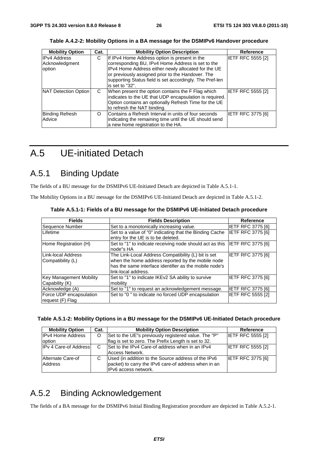| <b>Mobility Option</b>                          | Cat. | <b>Mobility Option Description</b>                                                                                                                                                                                                                                                            | <b>Reference</b>         |
|-------------------------------------------------|------|-----------------------------------------------------------------------------------------------------------------------------------------------------------------------------------------------------------------------------------------------------------------------------------------------|--------------------------|
| <b>IPv4 Address</b><br>Acknowledgment<br>option | C    | If IPv4 Home Address option is present in the<br>corresponding BU, IPv4 Home Address is set to the<br>IPv4 Home Address either newly allocated for the UE<br>or previously assigned prior to the Handover. The<br>supporting Status field is set accordingly. The Pref-len<br>is set to "32". | <b>IETF RFC 5555 [2]</b> |
| <b>NAT Detection Option</b>                     | C    | When present the option contains the F Flag which<br>indicates to the UE that UDP encapsulation is required.<br>Option contains an optionally Refresh Time for the UE<br>to refresh the NAT binding.                                                                                          | <b>IETF RFC 5555 [2]</b> |
| <b>Binding Refresh</b><br>Advice                | O    | Contains a Refresh Interval in units of four seconds<br>indicating the remaining time until the UE should send<br>a new home registration to the HA.                                                                                                                                          | <b>IETF RFC 3775 [6]</b> |

**Table A.4.2-2: Mobility Options in a BA message for the DSMIPv6 Handover procedure** 

## A.5 UE-initiated Detach

## A.5.1 Binding Update

The fields of a BU message for the DSMIPv6 UE-Initiated Detach are depicted in Table A.5.1-1.

The Mobility Options in a BU message for the DSMIPv6 UE-Initiated Detach are depicted in Table A.5.1-2.

| <b>Fields</b>                                    | <b>Fields Description</b>                                                                                                                                                                 | Reference                |
|--------------------------------------------------|-------------------------------------------------------------------------------------------------------------------------------------------------------------------------------------------|--------------------------|
| Sequence Number                                  | Set to a monotonically increasing value.                                                                                                                                                  | IETF RFC 3775 [6]        |
| Lifetime                                         | Set to a value of "0" indicating that the Binding Cache<br>entry for the UE is to be deleted.                                                                                             | IETF RFC 3775 [6]        |
| Home Registration (H)                            | Set to "1" to indicate receiving node should act as this<br>node"s HA                                                                                                                     | <b>IETF RFC 3775 [6]</b> |
| ILink-local Address<br>Compatibility (L)         | The Link-Local Address Compatibility (L) bit is set<br>when the home address reported by the mobile node<br>has the same interface identifier as the mobile node's<br>link-local address. | <b>IETF RFC 3775 [6]</b> |
| <b>Key Management Mobility</b><br>Capability (K) | Set to "1" to indicate IKEv2 SA ability to survive<br>mobility                                                                                                                            | <b>IETF RFC 3775 [6]</b> |
| Acknowledge (A)                                  | Set to "1" to request an acknowledgement message.                                                                                                                                         | <b>IETF RFC 3775 [6]</b> |
| Force UDP encapsulation<br>request (F) Flag      | Set to "0" to indicate no forced UDP encapsulation                                                                                                                                        | <b>IETF RFC 5555 [2]</b> |

**Table A.5.1-1: Fields of a BU message for the DSMIPv6 UE-Initiated Detach procedure** 

| Table A.5.1-2: Mobility Options in a BU message for the DSMIPv6 UE-Initiated Detach procedure |  |  |  |  |  |
|-----------------------------------------------------------------------------------------------|--|--|--|--|--|
|-----------------------------------------------------------------------------------------------|--|--|--|--|--|

| <b>Mobility Option</b>       | Cat. | <b>Mobility Option Description</b>                   | Reference                |
|------------------------------|------|------------------------------------------------------|--------------------------|
| <b>IPv4 Home Address</b>     | O    | Set to the UE"s previously registered value. The "P" | <b>IETF RFC 5555 [2]</b> |
| option                       |      | flag is set to zero. The Prefix Length is set to 32. |                          |
| <b>IPv 4 Care-of Address</b> | C    | Set to the IPv4 Care-of address when in an IPv4      | <b>IETF RFC 5555 [2]</b> |
|                              |      | Access Network.                                      |                          |
| Alternate Care-of            |      | Used (in addition to the Source address of the IPv6  | <b>IETF RFC 3775 [6]</b> |
| Address                      |      | packet) to carry the IPv6 care-of address when in an |                          |
|                              |      | IPv6 access network.                                 |                          |

## A.5.2 Binding Acknowledgement

The fields of a BA message for the DSMIPv6 Initial Binding Registration procedure are depicted in Table A.5.2-1.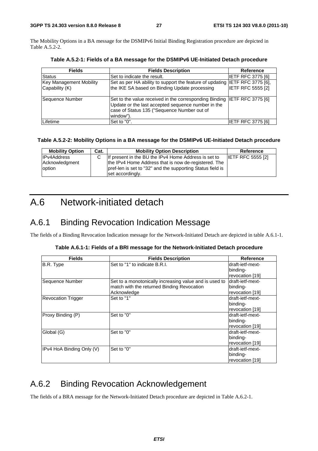The Mobility Options in a BA message for the DSMIPv6 Initial Binding Registration procedure are depicted in Table A.5.2-2.

| <b>Fields</b>                                    | <b>Fields Description</b>                                                                                                                                                                   | <b>Reference</b>         |
|--------------------------------------------------|---------------------------------------------------------------------------------------------------------------------------------------------------------------------------------------------|--------------------------|
| Status                                           | Set to indicate the result.                                                                                                                                                                 | <b>IETF RFC 3775 [6]</b> |
| <b>Key Management Mobility</b><br>Capability (K) | Set as per HA ability to support the feature of updating IETF RFC 3775 [6],<br>the IKE SA based on Binding Update processing                                                                | <b>IETF RFC 5555 [2]</b> |
| Sequence Number                                  | Set to the value received in the corresponding Binding  IETF RFC 3775 [6]<br>Update or the last accepted sequence number in the<br>case of Status 135 ("Sequence Number out of<br>window"). |                          |
| Lifetime                                         | Set to "0".                                                                                                                                                                                 | IETF RFC 3775 [6]        |

**Table A.5.2-1: Fields of a BA message for the DSMIPv6 UE-Initiated Detach procedure** 

### **Table A.5.2-2: Mobility Options in a BA message for the DSMIPv6 UE-Initiated Detach procedure**

| <b>Mobility Option</b>   | Cat. | <b>Mobility Option Description</b>                                                                                 | Reference                |
|--------------------------|------|--------------------------------------------------------------------------------------------------------------------|--------------------------|
| <b>IPv4Address</b>       |      | If present in the BU the IPv4 Home Address is set to                                                               | <b>IETF RFC 5555 [2]</b> |
| Acknowledgment<br>option |      | the IPv4 Home Address that is now de-registered. The<br>pref-len is set to "32" and the supporting Status field is |                          |
|                          |      | set accordingly.                                                                                                   |                          |

## A.6 Network-initiated detach

## A.6.1 Binding Revocation Indication Message

The fields of a Binding Revocation Indication message for the Network-Initiated Detach are depicted in table A.6.1-1.

|  |  | Table A.6.1-1: Fields of a BRI message for the Network-Initiated Detach procedure |
|--|--|-----------------------------------------------------------------------------------|
|  |  |                                                                                   |

| <b>Fields</b>             | <b>Fields Description</b>                              | <b>Reference</b> |
|---------------------------|--------------------------------------------------------|------------------|
| B.R. Type                 | Set to "1" to indicate B.R.I.                          | draft-ietf-mext- |
|                           |                                                        | binding-         |
|                           |                                                        | revocation [19]  |
| Sequence Number           | Set to a monotonically increasing value and is used to | draft-ietf-mext- |
|                           | match with the returned Binding Revocation             | binding-         |
|                           | Acknowledge                                            | revocation [19]  |
| <b>Revocation Trigger</b> | Set to "1"                                             | draft-ietf-mext- |
|                           |                                                        | binding-         |
|                           |                                                        | revocation [19]  |
| Proxy Binding (P)         | Set to "0"                                             | draft-ietf-mext- |
|                           |                                                        | binding-         |
|                           |                                                        | revocation [19]  |
| Global (G)                | Set to "0"                                             | draft-ietf-mext- |
|                           |                                                        | binding-         |
|                           |                                                        | revocation [19]  |
| IPv4 HoA Binding Only (V) | Set to "0"                                             | draft-ietf-mext- |
|                           |                                                        | binding-         |
|                           |                                                        | revocation [19]  |

## A.6.2 Binding Revocation Acknowledgement

The fields of a BRA message for the Network-Initiated Detach procedure are depicted in Table A.6.2-1.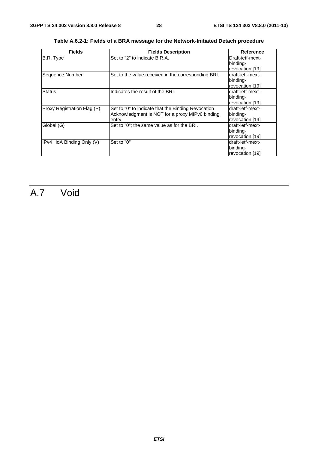| <b>Fields</b>               | <b>Fields Description</b>                           | <b>Reference</b> |
|-----------------------------|-----------------------------------------------------|------------------|
| B.R. Type                   | Set to "2" to indicate B.R.A.                       | Draft-ietf-mext- |
|                             |                                                     | binding-         |
|                             |                                                     | revocation [19]  |
| Sequence Number             | Set to the value received in the corresponding BRI. | draft-ietf-mext- |
|                             |                                                     | binding-         |
|                             |                                                     | revocation [19]  |
| <b>Status</b>               | Indicates the result of the BRI.                    | draft-ietf-mext- |
|                             |                                                     | binding-         |
|                             |                                                     | revocation [19]  |
| Proxy Registration Flag (P) | Set to "0" to indicate that the Binding Revocation  | draft-ietf-mext- |
|                             | Acknowledgment is NOT for a proxy MIPv6 binding     | binding-         |
|                             | entry.                                              | revocation [19]  |
| Global (G)                  | Set to "0"; the same value as for the BRI.          | draft-ietf-mext- |
|                             |                                                     | binding-         |
|                             |                                                     | revocation [19]  |
| IPv4 HoA Binding Only (V)   | Set to "0"                                          | draft-ietf-mext- |
|                             |                                                     | binding-         |
|                             |                                                     | revocation [19]  |

**Table A.6.2-1: Fields of a BRA message for the Network-Initiated Detach procedure** 

## A.7 Void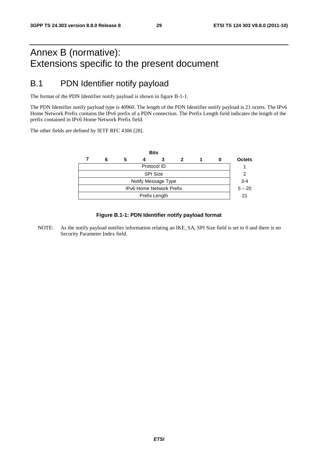## Annex B (normative): Extensions specific to the present document

## B.1 PDN Identifier notify payload

The format of the PDN Identifier notify payload is shown in figure B-1-1.

The PDN Identifier notify payload type is 40960. The length of the PDN Identifier notify payload is 21 octets. The IPv6 Home Network Prefix contains the IPv6 prefix of a PDN connection. The Prefix Length field indicates the length of the prefix contained in IPv6 Home Network Prefix field.

The other fields are defined by IETF RFC 4306 [28].



### **Figure B.1-1: PDN Identifier notify payload format**

NOTE: As the notify payload notifies information relating an IKE\_SA, SPI Size field is set to 0 and there is no Security Parameter Index field.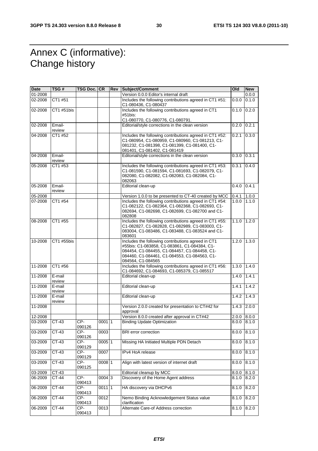## Annex C (informative): Change history

| <b>Date</b> | TSG #            | TSG Doc. CR     |          | Rev | Subject/Comment                                                                                                                                                                                                         | Old   | <b>New</b> |
|-------------|------------------|-----------------|----------|-----|-------------------------------------------------------------------------------------------------------------------------------------------------------------------------------------------------------------------------|-------|------------|
| 01-2008     |                  |                 |          |     | Version 0.0.0 Editor's internal draft                                                                                                                                                                                   |       | 0.0.0      |
| 02-2008     | CT1 #51          |                 |          |     | Includes the following contributions agreed in CT1 #51:<br>C1-080436, C1-080437                                                                                                                                         | 0.0.0 | 0.1.0      |
| 02-2008     | CT1 #51bis       |                 |          |     | Includes the following contributions agreed in CT1<br>#51bis:                                                                                                                                                           | 0.1.0 | 0.2.0      |
|             |                  |                 |          |     | C1-080770, C1-080776, C1-080791.                                                                                                                                                                                        |       |            |
| 02-2008     | Email-<br>review |                 |          |     | Editorial/style corrections in the clean version                                                                                                                                                                        | 0.2.0 | 0.2.1      |
| 04-2008     | CT1 #52          |                 |          |     | Includes the following contributions agreed in CT1 #52:<br>C1-080954, C1-080959, C1-080960, C1-081213, C1-<br>081232, C1-081398, C1-081399, C1-081400, C1-<br>081401, C1-081402, C1-081419                              | 0.2.1 | 0.3.0      |
| 04-2008     | Email-<br>review |                 |          |     | Editorial/style corrections in the clean version                                                                                                                                                                        | 0.3.0 | 0.3.1      |
| 05-2008     | CT1 #53          |                 |          |     | Includes the following contributions agreed in CT1 #53:<br>C1-081590, C1-081594, C1-081693, C1-082079, C1-<br>082080, C1-082082, C1-082083, C1-082084, C1-<br>082063                                                    | 0.3.1 | 0.4.0      |
| 05-2008     | Email-<br>review |                 |          |     | Editorial clean-up                                                                                                                                                                                                      | 0.4.0 | 0.4.1      |
| 05-2008     |                  |                 |          |     | Version 1.0.0 to be presented to CT-40 created by MCC                                                                                                                                                                   | 0.4.1 | 1.0.0      |
| 07-2008     | CT1 #54          |                 |          |     | Includes the following contributions agreed in CT1 #54:<br>C1-082122, C1-082364, C1-082368, C1-082693, C1-<br>082694, C1-082698, C1-082699, C1-082700 and C1-<br>082808                                                 | 1.0.0 | 1.1.0      |
| 08-2008     | CT1 #55          |                 |          |     | Includes the following contributions agreed in CT1 #55:<br>C1-082827, C1-082828, C1-082989, C1-083003, C1-<br>083004, C1-083486, C1-083488, C1-083524 and C1-<br>083601                                                 | 1.1.0 | 1.2.0      |
| 10-2008     | CT1 #55bis       |                 |          |     | Includes the following contributions agreed in CT1<br>#55bis: C1-083858, C1-083861, C1-084384, C1-<br>084454, C1-084455, C1-084457, C1-084458, C1-<br>084460, C1-084461, C1-084553, C1-084563, C1-<br>084564, C1-084565 | 1.2.0 | 1.3.0      |
| 11-2008     | CT1 #56          |                 |          |     | Includes the following contributions agreed in CT1 #56:<br>C1-084692, C1-084693, C1-085379, C1-085517                                                                                                                   | 1.3.0 | 1.4.0      |
| 11-2008     | E-mail<br>review |                 |          |     | Editorial clean-up                                                                                                                                                                                                      | 1.4.0 | 1.4.1      |
| 11-2008     | E-mail<br>review |                 |          |     | Editorial clean-up                                                                                                                                                                                                      | 1.4.1 | 1.4.2      |
| 11-2008     | E-mail<br>review |                 |          |     | Editorial clean-up                                                                                                                                                                                                      | 1.4.2 | 1.4.3      |
| 11-2008     |                  |                 |          |     | Version 2.0.0 created for presentation to CT#42 for<br>approval                                                                                                                                                         | 1.4.3 | 2.0.0      |
| 12-2008     |                  |                 |          |     | Version 8.0.0 created after approval in CT#42                                                                                                                                                                           | 2.0.0 | 8.0.0      |
| 03-2009     | CT-43            | CP-<br>090126   | 00011    |     | <b>Binding Update Optimization</b>                                                                                                                                                                                      | 0.0.8 | 8.1.0      |
| 03-2009     | CT-43            | CP-<br>090126   | 0003     |     | <b>BRI</b> error correction                                                                                                                                                                                             | 8.0.0 | 8.1.0      |
| 03-2009     | CT-43            | CP-<br>090129   | 0005 1   |     | Missing HA Initiated Multiple PDN Detach                                                                                                                                                                                | 8.0.0 | 8.1.0      |
| 03-2009     | CT-43            | CP-<br>090129   | 0007     |     | IPv4 HoA release                                                                                                                                                                                                        | 8.0.0 | 8.1.0      |
| 03-2009     | $CT-43$          | $CP-$<br>090125 | $0008$ 1 |     | Align with latest version of internet draft                                                                                                                                                                             | 8.0.0 | 8.1.0      |
| 03-2009     | CT-43            |                 |          |     | Editorial cleanup by MCC                                                                                                                                                                                                | 8.0.0 | 8.1.0      |
| 06-2009     | CT-44            | CP-<br>090413   | 0004 3   |     | Discovery of the Home Agent address                                                                                                                                                                                     | 8.1.0 | 8.2.0      |
| 06-2009     | $CT-44$          | CP-<br>090413   | 0011 1   |     | HA discovery via DHCPv6                                                                                                                                                                                                 | 8.1.0 | 8.2.0      |
| 06-2009     | CT-44            | $CP-$<br>090413 | 0012     |     | Nemo Binding Acknowledgement Status value<br>clarification                                                                                                                                                              | 8.1.0 | 8.2.0      |
| 06-2009     | $CT-44$          | CP-<br>090413   | 0013     |     | Alternate Care-of Address correction                                                                                                                                                                                    | 8.1.0 | 8.2.0      |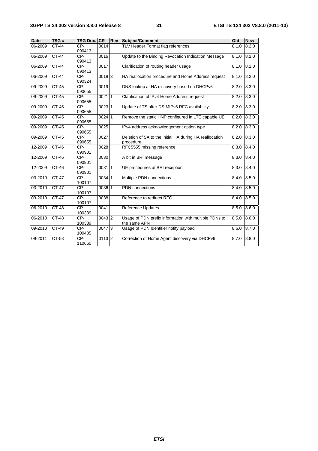| <b>Date</b> | TSG#         | <b>TSG Doc.</b> | CR                  | Rev | <b>Subject/Comment</b>                                                | Old   | <b>New</b> |
|-------------|--------------|-----------------|---------------------|-----|-----------------------------------------------------------------------|-------|------------|
| 06-2009     | <b>CT-44</b> | CP-<br>090413   | 0014                |     | TLV Header Format flag references                                     | 8.1.0 | 8.2.0      |
| 06-2009     | <b>CT-44</b> | CP-<br>090413   | 0016                |     | Update to the Binding Revocation Indication Message                   |       | 8.2.0      |
| 06-2009     | $CT-44$      | $CP-$<br>090413 | 0017                |     | Clarification of routing header usage                                 | 8.1.0 | 8.2.0      |
| 06-2009     | $CT-44$      | $CP-$<br>090324 | 00183               |     | HA reallocation procedure and Home Address request                    | 8.1.0 | 8.2.0      |
| 09-2009     | <b>CT-45</b> | CP-<br>090655   | 0019                |     | DNS lookup at HA discovery based on DHCPv6                            | 8.2.0 | 8.3.0      |
| 09-2009     | CT-45        | CP-<br>090655   | $0021$  1           |     | Clarification of IPv4 Home Address request                            | 8.2.0 | 8.3.0      |
| 09-2009     | $CT-45$      | $CP-$<br>090655 | 002311              |     | Update of TS after DS-MIPv6 RFC availability                          | 8.2.0 | 8.3.0      |
| 09-2009     | $CT-45$      | $CP-$<br>090655 | $0024$ 1            |     | Remove the static HNP configured in LTE capable UE                    | 8.2.0 | 8.3.0      |
| 09-2009     | $CT-45$      | CP-<br>090655   | 0025                |     | IPv4 address acknowledgement option type                              | 8.2.0 | 8.3.0      |
| 09-2009     | $CT-45$      | $CP-$<br>090655 | 0027                |     | Deletion of SA to the initial HA during HA reallocation<br>procedure  | 8.2.0 | 8.3.0      |
| 12-2009     | $CT-46$      | CP-<br>090901   | 0028                |     | RFC5555 missing reference                                             | 8.3.0 | 8.4.0      |
| 12-2009     | $CT-46$      | $CP-$<br>090901 | 0030                |     | A bit in BRI message                                                  | 8.3.0 | 8.4.0      |
| 12-2009     | $CT-46$      | $CP-$<br>090901 | 00311               |     | UE procedures at BRI reception                                        | 8.3.0 | 8.4.0      |
| 03-2010     | <b>CT-47</b> | CP-<br>100107   | $0034$ 1            |     | Multiple PDN connections                                              | 8.4.0 | 8.5.0      |
| 03-2010     | $CT-47$      | $CP-$<br>100107 | $0036$ 1            |     | <b>PDN</b> connections                                                | 8.4.0 | 8.5.0      |
| 03-2010     | $CT-47$      | CP-<br>100107   | 0038                |     | Reference to redirect RFC                                             | 8.4.0 | 8.5.0      |
| 06-2010     | <b>CT-48</b> | CP-<br>100339   | 0041                |     | Reference Updates                                                     | 8.5.0 | 8.6.0      |
| 06-2010     | $CT-48$      | $CP-$<br>100339 | $0043$ <sub>2</sub> |     | Usage of PDN prefix information with multiple PDNs to<br>the same APN | 8.5.0 | 8.6.0      |
| 09-2010     | CT-49        | CP-<br>100485   | $0047$ 3            |     | Usage of PDN Identifier notify payload<br>8.6.0                       |       | 8.7.0      |
| 09-2011     | $CT-53$      | $CP-$<br>110660 | $0113$  2           |     | Correction of Home Agent discovery via DHCPv6                         | 8.7.0 | 8.8.0      |